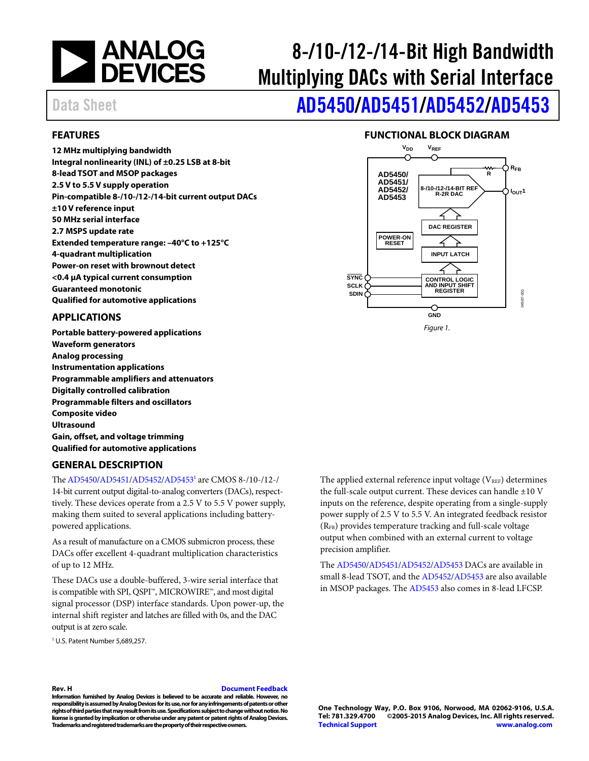

# 8-/10-/12-/14-Bit High Bandwidth Multiplying DACs with Serial Interface

# Data Sheet **[AD5450/](http://www.analog.com/AD5450?doc=AD5450_5451_5452_5453.pdf)[AD5451/](http://www.analog.com/AD5451?doc=AD5450_5451_5452_5453.pdf)[AD5452/](http://www.analog.com/AD5452?doc=AD5450_5451_5452_5453.pdf)[AD5453](http://www.analog.com/AD5453?doc=AD5450_5451_5452_5453.pdf)**

#### <span id="page-0-0"></span>**FEATURES**

**12 MHz multiplying bandwidth Integral nonlinearity (INL) of ±0.25 LSB at 8-bit 8-lead TSOT and MSOP packages 2.5 V to 5.5 V supply operation Pin-compatible 8-/10-/12-/14-bit current output DACs ±10 V reference input 50 MHz serial interface 2.7 MSPS update rate Extended temperature range: –40°C to +125°C 4-quadrant multiplication Power-on reset with brownout detect <0.4 µA typical current consumption Guaranteed monotonic Qualified for automotive applications**

#### <span id="page-0-1"></span>**APPLICATIONS**

**Portable battery-powered applications Waveform generators Analog processing Instrumentation applications Programmable amplifiers and attenuators Digitally controlled calibration Programmable filters and oscillators Composite video Ultrasound Gain, offset, and voltage trimming Qualified for automotive applications**

#### <span id="page-0-3"></span>**GENERAL DESCRIPTION**

Th[e AD5450/](http://www.analog.com/AD5450?doc=AD5450_5451_5452_5453.pdf)[AD5451/](http://www.analog.com/AD5451?doc=AD5450_5451_5452_5453.pdf)[AD5452/](http://www.analog.com/AD5452?doc=AD5450_5451_5452_5453.pdf)[AD54531](http://www.analog.com/AD5453?doc=AD5450_5451_5452_5453.pdf) are CMOS 8-/10-/12-/ 14-bit current output digital-to-analog converters (DACs), respecttively. These devices operate from a 2.5 V to 5.5 V power supply, making them suited to several applications including batterypowered applications.

As a result of manufacture on a CMOS submicron process, these DACs offer excellent 4-quadrant multiplication characteristics of up to 12 MHz.

These DACs use a double-buffered, 3-wire serial interface that is compatible with SPI, QSPI™, MICROWIRE™, and most digital signal processor (DSP) interface standards. Upon power-up, the internal shift register and latches are filled with 0s, and the DAC output is at zero scale.

<sup>1</sup> U.S. Patent Number 5,689,257.

The applied external reference input voltage  $(V_{REF})$  determines the full-scale output current. These devices can handle  $\pm 10$  V inputs on the reference, despite operating from a single-supply power supply of 2.5 V to 5.5 V. An integrated feedback resistor (RFB) provides temperature tracking and full-scale voltage output when combined with an external current to voltage precision amplifier.

The [AD5450](http://www.analog.com/AD5450?doc=AD5450_5451_5452_5453.pdf)[/AD5451](http://www.analog.com/AD5451?doc=AD5450_5451_5452_5453.pdf)[/AD5452](http://www.analog.com/AD5452?doc=AD5450_5451_5452_5453.pdf)[/AD5453](http://www.analog.com/AD5453?doc=AD5450_5451_5452_5453.pdf) DACs are available in small 8-lead TSOT, and th[e AD5452](http://www.analog.com/AD5452?doc=AD5450_5451_5452_5453.pdf)[/AD5453](http://www.analog.com/AD5453?doc=AD5450_5451_5452_5453.pdf) are also available in MSOP packages. Th[e AD5453](http://www.analog.com/AD5453?doc=AD5450_5451_5452_5453.pdf) also comes in 8-lead LFCSP.

#### **FUNCTIONAL BLOCK DIAGRAM**

<span id="page-0-2"></span>

#### **Rev. H [Document Feedback](https://form.analog.com/Form_Pages/feedback/documentfeedback.aspx?doc=AD5450_5451_5452_5453.pdf&product=AD5450/AD5451/AD5452/AD5453&rev=H)**

**Information furnished by Analog Devices is believed to be accurate and reliable. However, no responsibility is assumed by Analog Devices for its use, nor for any infringements of patents or other rights of third parties that may result from its use. Specifications subject to change without notice. No license is granted by implication or otherwise under any patent or patent rights of Analog Devices. Trademarks and registered trademarks are the property of their respective owners.**

**One Technology Way, P.O. Box 9106, Norwood, MA 02062-9106, U.S.A. Tel: 781.329.4700 ©2005-2015 Analog Devices, Inc. All rights reserved. [Technical Support](http://www.analog.com/en/content/technical_support_page/fca.html) [www.analog.com](http://www.analog.com/)**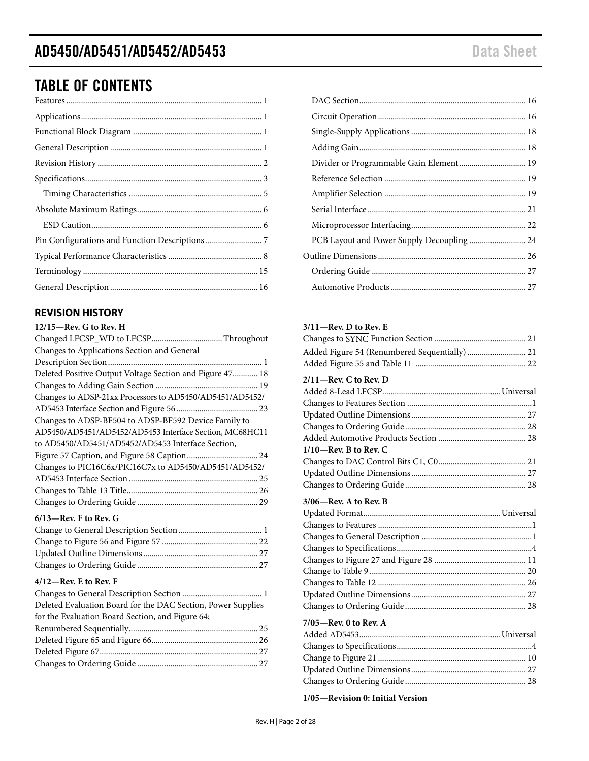### TABLE OF CONTENTS

#### <span id="page-1-0"></span>**REVISION HISTORY**

| $12/15$ —Rev. G to Rev. H                                |
|----------------------------------------------------------|
|                                                          |
| Changes to Applications Section and General              |
|                                                          |
| Deleted Positive Output Voltage Section and Figure 47 18 |
|                                                          |
| Changes to ADSP-21xx Processors to AD5450/AD5451/AD5452/ |
|                                                          |
| Changes to ADSP-BF504 to ADSP-BF592 Device Family to     |
| AD5450/AD5451/AD5452/AD5453 Interface Section, MC68HC11  |
| to AD5450/AD5451/AD5452/AD5453 Interface Section,        |
|                                                          |
| Changes to PIC16C6x/PIC16C7x to AD5450/AD5451/AD5452/    |
|                                                          |
|                                                          |
|                                                          |
| $6/13$ —Rev. F to Rev. G                                 |

#### **4/12—Rev. E to Rev. F**

| Deleted Evaluation Board for the DAC Section, Power Supplies<br>for the Evaluation Board Section, and Figure 64; |  |
|------------------------------------------------------------------------------------------------------------------|--|
|                                                                                                                  |  |
|                                                                                                                  |  |
|                                                                                                                  |  |
|                                                                                                                  |  |
|                                                                                                                  |  |
|                                                                                                                  |  |

| Divider or Programmable Gain Element 19 |  |
|-----------------------------------------|--|
|                                         |  |
|                                         |  |
|                                         |  |
|                                         |  |
|                                         |  |
|                                         |  |
|                                         |  |
|                                         |  |
|                                         |  |

#### **3/11—Rev. D to Rev. E**

| Added Figure 54 (Renumbered Sequentially)  21 |
|-----------------------------------------------|
|                                               |
| $2/11$ – Rev. C to Rev. D                     |
|                                               |
|                                               |
|                                               |
|                                               |
|                                               |
| $1/10$ —Rev. B to Rev. C                      |
|                                               |
|                                               |
|                                               |
|                                               |
| $3/06$ —Rev. A to Rev. B                      |
|                                               |
|                                               |
|                                               |
|                                               |
|                                               |
|                                               |
|                                               |
|                                               |
|                                               |
|                                               |
| $7/05$ —Rev. 0 to Rev. A                      |
|                                               |
|                                               |
|                                               |
|                                               |
|                                               |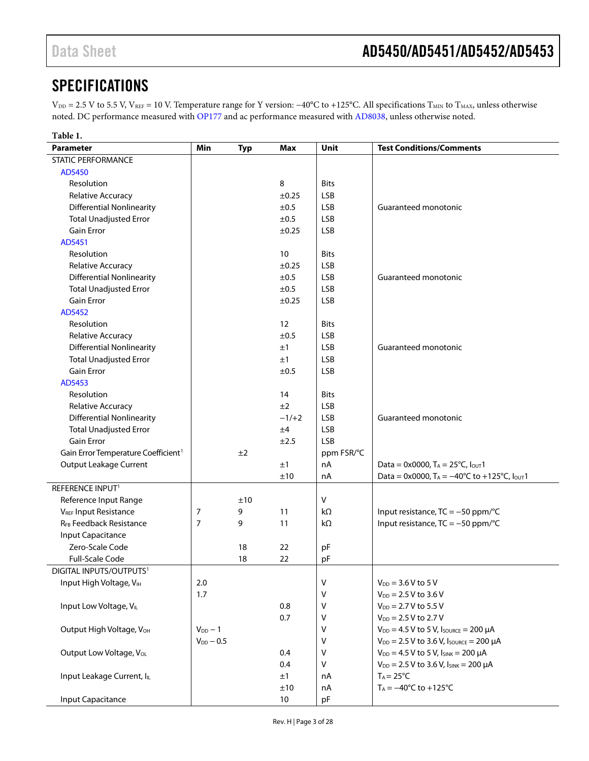### <span id="page-2-0"></span>**SPECIFICATIONS**

V<sub>DD</sub> = 2.5 V to 5.5 V, V<sub>REF</sub> = 10 V. Temperature range for Y version: −40°C to +125°C. All specifications T<sub>MIN</sub> to T<sub>MAX</sub>, unless otherwise noted. DC performance measured with [OP177](http://www.analog.com/OP177?doc=AD5450_5451_5452_5453.pdf) and ac performance measured with [AD8038,](http://www.analog.com/AD8038?doc=AD5450_5451_5452_5453.pdf) unless otherwise noted.

| Table 1.                                        |                |            |            |             |                                                                  |
|-------------------------------------------------|----------------|------------|------------|-------------|------------------------------------------------------------------|
| <b>Parameter</b>                                | <b>Min</b>     | <b>Typ</b> | Max        | Unit        | <b>Test Conditions/Comments</b>                                  |
| <b>STATIC PERFORMANCE</b>                       |                |            |            |             |                                                                  |
| AD5450                                          |                |            |            |             |                                                                  |
| Resolution                                      |                |            | 8          | <b>Bits</b> |                                                                  |
| Relative Accuracy                               |                |            | $\pm 0.25$ | <b>LSB</b>  |                                                                  |
| <b>Differential Nonlinearity</b>                |                |            | ±0.5       | <b>LSB</b>  | Guaranteed monotonic                                             |
| <b>Total Unadjusted Error</b>                   |                |            | ±0.5       | <b>LSB</b>  |                                                                  |
| Gain Error                                      |                |            | ±0.25      | <b>LSB</b>  |                                                                  |
| AD5451                                          |                |            |            |             |                                                                  |
| Resolution                                      |                |            | 10         | <b>Bits</b> |                                                                  |
| Relative Accuracy                               |                |            | ±0.25      | <b>LSB</b>  |                                                                  |
| <b>Differential Nonlinearity</b>                |                |            | ±0.5       | <b>LSB</b>  | Guaranteed monotonic                                             |
| <b>Total Unadjusted Error</b>                   |                |            | ±0.5       | <b>LSB</b>  |                                                                  |
| <b>Gain Error</b>                               |                |            | ±0.25      | <b>LSB</b>  |                                                                  |
| AD5452                                          |                |            |            |             |                                                                  |
| Resolution                                      |                |            | 12         | <b>Bits</b> |                                                                  |
| Relative Accuracy                               |                |            | ±0.5       | <b>LSB</b>  |                                                                  |
| <b>Differential Nonlinearity</b>                |                |            | ±1         | <b>LSB</b>  | Guaranteed monotonic                                             |
| <b>Total Unadjusted Error</b>                   |                |            | ±1         | <b>LSB</b>  |                                                                  |
| <b>Gain Error</b>                               |                |            | ±0.5       | <b>LSB</b>  |                                                                  |
| AD5453                                          |                |            |            |             |                                                                  |
| Resolution                                      |                |            | 14         | <b>Bits</b> |                                                                  |
| Relative Accuracy                               |                |            | ±2         | <b>LSB</b>  |                                                                  |
| <b>Differential Nonlinearity</b>                |                |            | $-1/+2$    | <b>LSB</b>  | Guaranteed monotonic                                             |
| <b>Total Unadjusted Error</b>                   |                |            | ±4         | <b>LSB</b>  |                                                                  |
| <b>Gain Error</b>                               |                |            | ±2.5       | <b>LSB</b>  |                                                                  |
| Gain Error Temperature Coefficient <sup>1</sup> |                | ±2         |            | ppm FSR/°C  |                                                                  |
| <b>Output Leakage Current</b>                   |                |            | ±1         | nA          | Data = $0x0000$ , T <sub>A</sub> = $25^{\circ}$ C, Iout1         |
|                                                 |                |            | ±10        | nA          | Data = 0x0000, $T_A = -40^{\circ}C$ to +125°C, $I_{\text{OUT}}1$ |
| REFERENCE INPUT <sup>1</sup>                    |                |            |            |             |                                                                  |
| Reference Input Range                           |                | ±10        |            | $\sf V$     |                                                                  |
| VREF Input Resistance                           | 7              | 9          | 11         | kΩ          | Input resistance, $TC = -50$ ppm/°C                              |
| RFB Feedback Resistance                         | 7              | 9          | 11         | kΩ          | Input resistance, $TC = -50$ ppm/°C                              |
| Input Capacitance                               |                |            |            |             |                                                                  |
| Zero-Scale Code                                 |                | 18         | 22         | pF          |                                                                  |
| <b>Full-Scale Code</b>                          |                | 18         | 22         | pF          |                                                                  |
| DIGITAL INPUTS/OUTPUTS <sup>1</sup>             |                |            |            |             |                                                                  |
| Input High Voltage, VIH                         | 2.0            |            |            | V           | $V_{DD} = 3.6 V to 5 V$                                          |
|                                                 | 1.7            |            |            | V           | $V_{DD} = 2.5 V$ to 3.6 V                                        |
| Input Low Voltage, VL                           |                |            | 0.8        | v           | $V_{DD} = 2.7 V$ to 5.5 V                                        |
|                                                 |                |            | 0.7        | ٧           | $V_{DD} = 2.5 V$ to 2.7 V                                        |
| Output High Voltage, VOH                        | $V_{DD} - 1$   |            |            | V           | $V_{DD} = 4.5$ V to 5 V, Isource = 200 µA                        |
|                                                 | $V_{DD} - 0.5$ |            |            | V           | $V_{DD} = 2.5 V$ to 3.6 V, Isource = 200 µA                      |
| Output Low Voltage, Vol.                        |                |            | 0.4        | V           | $V_{DD} = 4.5 V$ to 5 V, $I_{SINK} = 200 \mu A$                  |
|                                                 |                |            | 0.4        | $\vee$      | $V_{DD} = 2.5 V$ to 3.6 V, $I_{SINK} = 200 \mu A$                |
| Input Leakage Current, IL                       |                |            | ±1         | nA          | $T_A = 25^{\circ}C$                                              |
|                                                 |                |            | ±10        | nA          | $T_A = -40^{\circ}C$ to $+125^{\circ}C$                          |
| Input Capacitance                               |                |            | 10         | pF          |                                                                  |
|                                                 |                |            |            |             |                                                                  |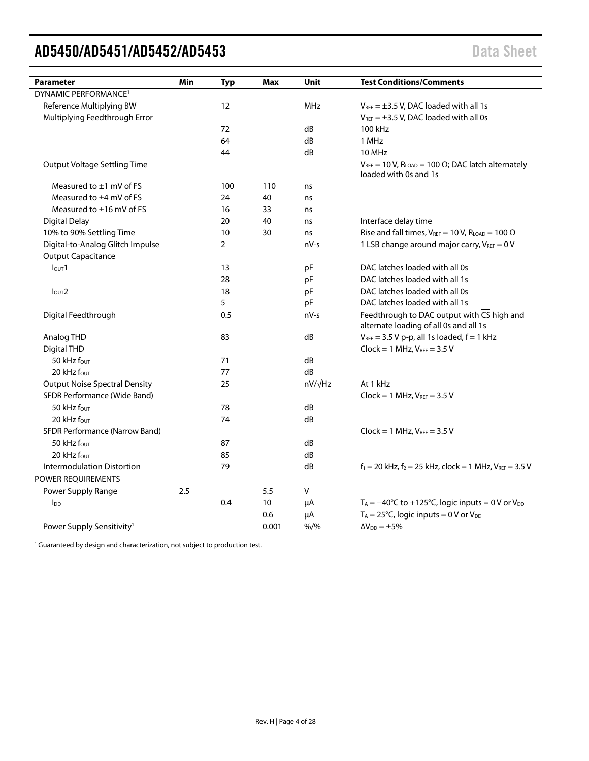<span id="page-3-0"></span>

| <b>Parameter</b>                      | Min | <b>Typ</b>     | Max   | Unit    | <b>Test Conditions/Comments</b>                                                                   |
|---------------------------------------|-----|----------------|-------|---------|---------------------------------------------------------------------------------------------------|
| DYNAMIC PERFORMANCE <sup>1</sup>      |     |                |       |         |                                                                                                   |
| Reference Multiplying BW              |     | 12             |       | MHz     | $V_{REF} = \pm 3.5$ V, DAC loaded with all 1s                                                     |
| Multiplying Feedthrough Error         |     |                |       |         | $V_{REF} = \pm 3.5$ V, DAC loaded with all 0s                                                     |
|                                       |     | 72             |       | dB      | 100 kHz                                                                                           |
|                                       |     | 64             |       | dB      | 1 MHz                                                                                             |
|                                       |     | 44             |       | dB      | 10 MHz                                                                                            |
| Output Voltage Settling Time          |     |                |       |         | $V_{REF}$ = 10 V, RLOAD = 100 $\Omega$ ; DAC latch alternately<br>loaded with 0s and 1s           |
| Measured to ±1 mV of FS               |     | 100            | 110   | ns      |                                                                                                   |
| Measured to $\pm 4$ mV of FS          |     | 24             | 40    | ns      |                                                                                                   |
| Measured to $\pm 16$ mV of FS         |     | 16             | 33    | ns      |                                                                                                   |
| <b>Digital Delay</b>                  |     | 20             | 40    | ns      | Interface delay time                                                                              |
| 10% to 90% Settling Time              |     | 10             | 30    | ns      | Rise and fall times, $V_{REF} = 10 V$ , $R_{LOAD} = 100 \Omega$                                   |
| Digital-to-Analog Glitch Impulse      |     | $\overline{2}$ |       | nV-s    | 1 LSB change around major carry, $V_{REF} = 0 V$                                                  |
| <b>Output Capacitance</b>             |     |                |       |         |                                                                                                   |
| I <sub>OUT</sub> 1                    |     | 13             |       | рF      | DAC latches loaded with all 0s                                                                    |
|                                       |     | 28             |       | pF      | DAC latches loaded with all 1s                                                                    |
| I <sub>OUT</sub> 2                    |     | 18             |       | pF      | DAC latches loaded with all 0s                                                                    |
|                                       |     | 5              |       | pF      | DAC latches loaded with all 1s                                                                    |
| Digital Feedthrough                   |     | 0.5            |       | $nV-s$  | Feedthrough to DAC output with $\overline{CS}$ high and<br>alternate loading of all 0s and all 1s |
| Analog THD                            |     | 83             |       | dB      | $V_{REF}$ = 3.5 V p-p, all 1s loaded, $f = 1$ kHz                                                 |
| Digital THD                           |     |                |       |         | $Clock = 1 MHz, V_{REF} = 3.5 V$                                                                  |
| 50 kHz fout                           |     | 71             |       | dB      |                                                                                                   |
| 20 kHz four                           |     | 77             |       | dB      |                                                                                                   |
| <b>Output Noise Spectral Density</b>  |     | 25             |       | nV/√Hz  | At 1 kHz                                                                                          |
| SFDR Performance (Wide Band)          |     |                |       |         | $Clock = 1 MHz, V_{REF} = 3.5 V$                                                                  |
| 50 kHz four                           |     | 78             |       | dB      |                                                                                                   |
| 20 kHz four                           |     | 74             |       | dB      |                                                                                                   |
| <b>SFDR Performance (Narrow Band)</b> |     |                |       |         | $Clock = 1 MHz, V_{REF} = 3.5 V$                                                                  |
| 50 kHz four                           |     | 87             |       | dB      |                                                                                                   |
| 20 kHz four                           |     | 85             |       | dB      |                                                                                                   |
| <b>Intermodulation Distortion</b>     |     | 79             |       | dB      | $f_1 = 20$ kHz, $f_2 = 25$ kHz, clock = 1 MHz, $V_{REF} = 3.5$ V                                  |
| POWER REQUIREMENTS                    |     |                |       |         |                                                                                                   |
| Power Supply Range                    | 2.5 |                | 5.5   | V       |                                                                                                   |
| $I_{DD}$                              |     | 0.4            | 10    | μA      | $T_A = -40^{\circ}C$ to +125°C, logic inputs = 0 V or $V_{DD}$                                    |
|                                       |     |                | 0.6   | μA      | $T_A = 25^{\circ}$ C, logic inputs = 0 V or V <sub>DD</sub>                                       |
| Power Supply Sensitivity <sup>1</sup> |     |                | 0.001 | $% /$ % | $\Delta V_{DD} = \pm 5\%$                                                                         |

<sup>1</sup> Guaranteed by design and characterization, not subject to production test.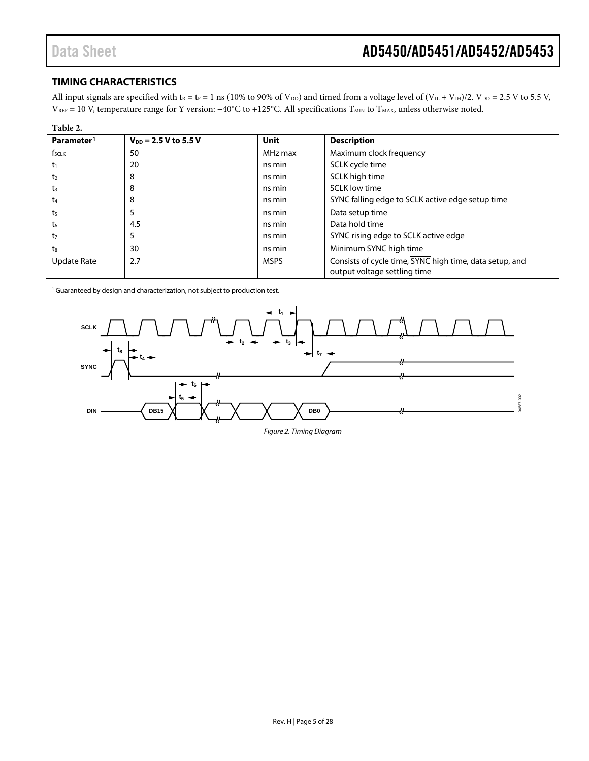#### <span id="page-4-0"></span>**TIMING CHARACTERISTICS**

All input signals are specified with  $t_R = t_F = 1$  ns (10% to 90% of  $V_{DD}$ ) and timed from a voltage level of  $(V_{IL} + V_{IH})/2$ .  $V_{DD} = 2.5$  V to 5.5 V, V<sub>REF</sub> = 10 V, temperature range for Y version: −40°C to +125°C. All specifications T<sub>MIN</sub> to T<sub>MAX</sub>, unless otherwise noted.

| Table 2.               |                           |             |                                                                                         |
|------------------------|---------------------------|-------------|-----------------------------------------------------------------------------------------|
| Parameter <sup>1</sup> | $V_{DD} = 2.5 V$ to 5.5 V | Unit        | <b>Description</b>                                                                      |
| f <sub>sclk</sub>      | 50                        | MHz max     | Maximum clock frequency                                                                 |
| t1                     | 20                        | ns min      | SCLK cycle time                                                                         |
| t <sub>2</sub>         | 8                         | ns min      | SCLK high time                                                                          |
| t3                     | 8                         | ns min      | <b>SCLK</b> low time                                                                    |
| t4                     | 8                         | ns min      | SYNC falling edge to SCLK active edge setup time                                        |
| t5                     | 5                         | ns min      | Data setup time                                                                         |
| t6                     | 4.5                       | ns min      | Data hold time                                                                          |
| t7                     | 5                         | ns min      | SYNC rising edge to SCLK active edge                                                    |
| $t_8$                  | 30                        | ns min      | Minimum SYNC high time                                                                  |
| Update Rate            | 2.7                       | <b>MSPS</b> | Consists of cycle time, SYNC high time, data setup, and<br>output voltage settling time |

<sup>1</sup> Guaranteed by design and characterization, not subject to production test.



*Figure 2. Timing Diagram*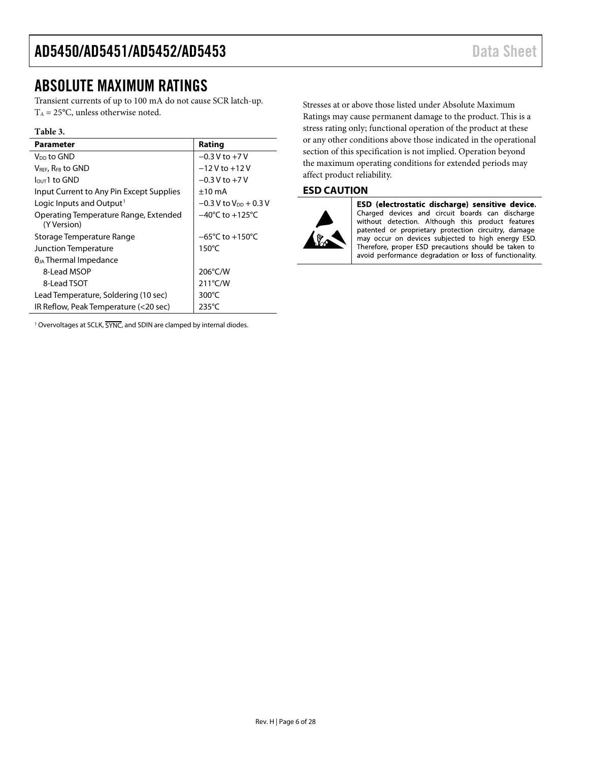### <span id="page-5-0"></span>ABSOLUTE MAXIMUM RATINGS

Transient currents of up to 100 mA do not cause SCR latch-up.  $T_A = 25$ °C, unless otherwise noted.

#### **Table 3.**

| Parameter                                            | Rating                              |
|------------------------------------------------------|-------------------------------------|
| V <sub>DD</sub> to GND                               | $-0.3$ V to $+7$ V                  |
| VREE, REB to GND                                     | $-12V$ to $+12V$                    |
| $IQUT1$ to GND                                       | $-0.3$ V to $+7$ V                  |
| Input Current to Any Pin Except Supplies             | $+10 \text{ mA}$                    |
| Logic Inputs and Output <sup>1</sup>                 | $-0.3$ V to V <sub>DD</sub> + 0.3 V |
| Operating Temperature Range, Extended<br>(Y Version) | $-40^{\circ}$ C to $+125^{\circ}$ C |
| Storage Temperature Range                            | $-65^{\circ}$ C to $+150^{\circ}$ C |
| Junction Temperature                                 | $150^{\circ}$ C                     |
| $\theta_{JA}$ Thermal Impedance                      |                                     |
| 8-Lead MSOP                                          | 206°C/W                             |
| 8-Lead TSOT                                          | $211^{\circ}$ C/W                   |
| Lead Temperature, Soldering (10 sec)                 | 300°C                               |
| IR Reflow, Peak Temperature (<20 sec)                | $235^{\circ}$ C                     |

<sup>1</sup> Overvoltages at SCLK,  $\overline{\text{SYNC}}$ , and SDIN are clamped by internal diodes.

Stresses at or above those listed under Absolute Maximum Ratings may cause permanent damage to the product. This is a stress rating only; functional operation of the product at these or any other conditions above those indicated in the operational section of this specification is not implied. Operation beyond the maximum operating conditions for extended periods may affect product reliability.

#### <span id="page-5-1"></span>**ESD CAUTION**



ESD (electrostatic discharge) sensitive device. Charged devices and circuit boards can discharge without detection. Although this product features patented or proprietary protection circuitry, damage may occur on devices subjected to high energy ESD. Therefore, proper ESD precautions should be taken to avoid performance degradation or loss of functionality.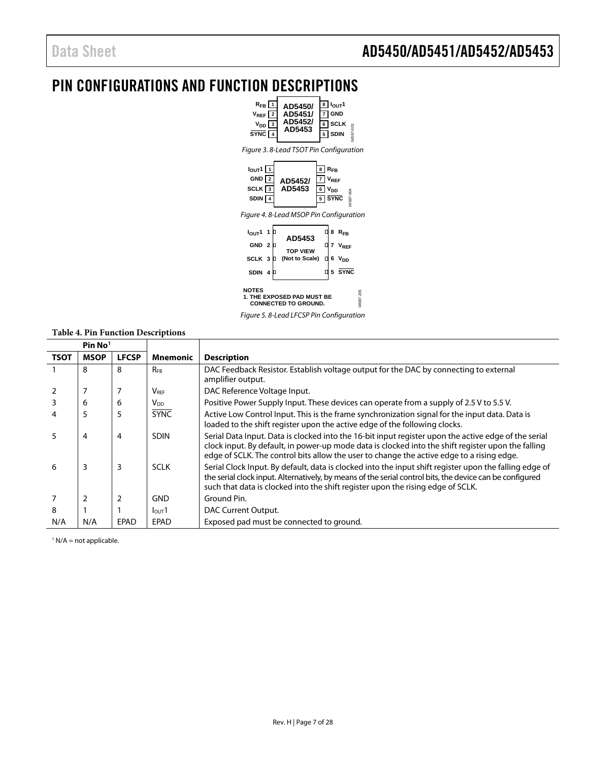### <span id="page-6-0"></span>PIN CONFIGURATIONS AND FUNCTION DESCRIPTIONS



Figure 5. 8-Lead LFCSP Pin Configuration

#### **Table 4. Pin Function Descriptions**

|             | Pin No <sup>1</sup> |              |                             |                                                                                                                                                                                                                                                                                                         |
|-------------|---------------------|--------------|-----------------------------|---------------------------------------------------------------------------------------------------------------------------------------------------------------------------------------------------------------------------------------------------------------------------------------------------------|
| <b>TSOT</b> | <b>MSOP</b>         | <b>LFCSP</b> | <b>Mnemonic</b>             | <b>Description</b>                                                                                                                                                                                                                                                                                      |
|             | 8                   | 8            | <b>RFB</b>                  | DAC Feedback Resistor. Establish voltage output for the DAC by connecting to external<br>amplifier output.                                                                                                                                                                                              |
|             |                     |              | $\mathsf{V}_{\mathsf{REF}}$ | DAC Reference Voltage Input.                                                                                                                                                                                                                                                                            |
|             | 6                   | 6            | V <sub>DD</sub>             | Positive Power Supply Input. These devices can operate from a supply of 2.5 V to 5.5 V.                                                                                                                                                                                                                 |
|             | 5                   | 5            | <b>SYNC</b>                 | Active Low Control Input. This is the frame synchronization signal for the input data. Data is<br>loaded to the shift register upon the active edge of the following clocks.                                                                                                                            |
|             | 4                   | 4            | <b>SDIN</b>                 | Serial Data Input. Data is clocked into the 16-bit input register upon the active edge of the serial<br>clock input. By default, in power-up mode data is clocked into the shift register upon the falling<br>edge of SCLK. The control bits allow the user to change the active edge to a rising edge. |
| 6           | 3                   | 3            | <b>SCLK</b>                 | Serial Clock Input. By default, data is clocked into the input shift register upon the falling edge of<br>the serial clock input. Alternatively, by means of the serial control bits, the device can be configured<br>such that data is clocked into the shift register upon the rising edge of SCLK.   |
|             | $\overline{2}$      | 2            | <b>GND</b>                  | Ground Pin.                                                                                                                                                                                                                                                                                             |
| 8           |                     |              | I <sub>OUT</sub> 1          | DAC Current Output.                                                                                                                                                                                                                                                                                     |
| N/A         | N/A                 | <b>EPAD</b>  | <b>EPAD</b>                 | Exposed pad must be connected to ground.                                                                                                                                                                                                                                                                |

 $<sup>1</sup>$  N/A = not applicable.</sup>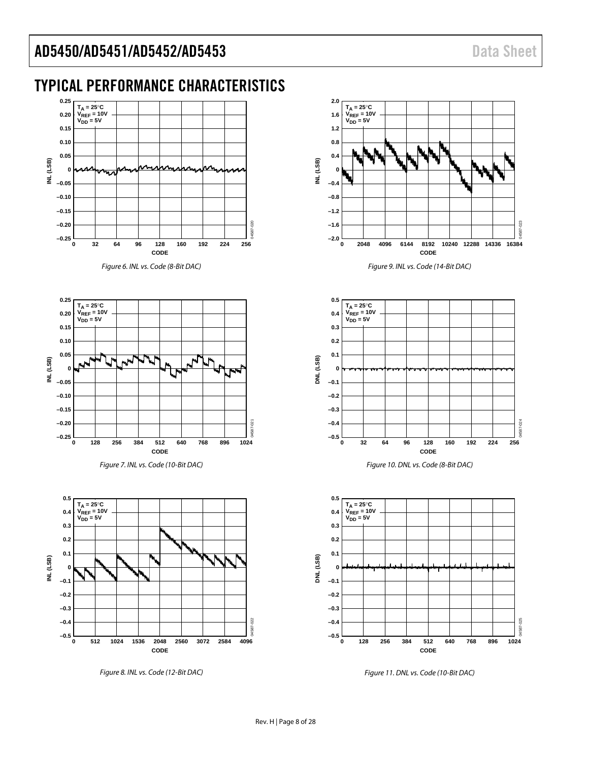# <span id="page-7-0"></span>TYPICAL PERFORMANCE CHARACTERISTICS



*Figure 6. INL vs. Code (8-Bit DAC)* 



*Figure 7. INL vs. Code (10-Bit DAC)* 



*Figure 8. INL vs. Code (12-Bit DAC)*









*Figure 11. DNL vs. Code (10-Bit DAC)*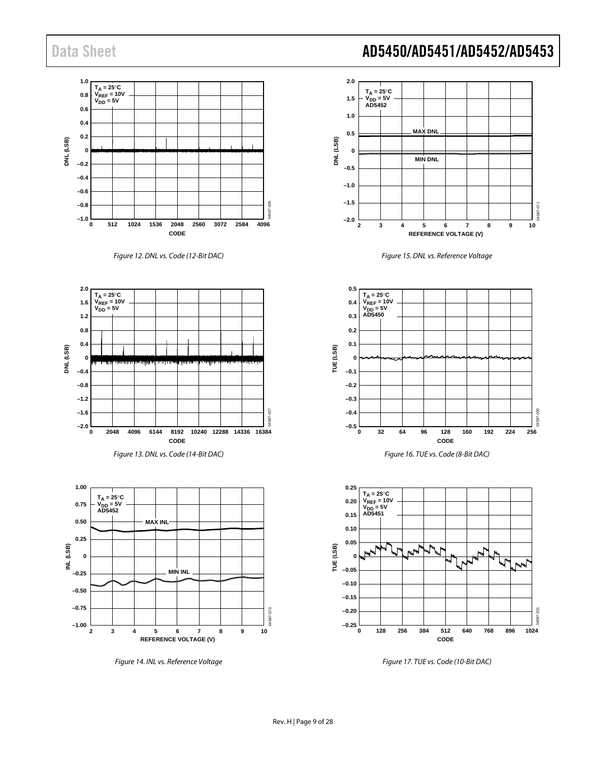









*Figure 14. INL vs. Reference Voltage*



*Figure 15. DNL vs. Reference Voltage*



*Figure 16. TUE vs. Code (8-Bit DAC)*



*Figure 17. TUE vs. Code (10-Bit DAC)*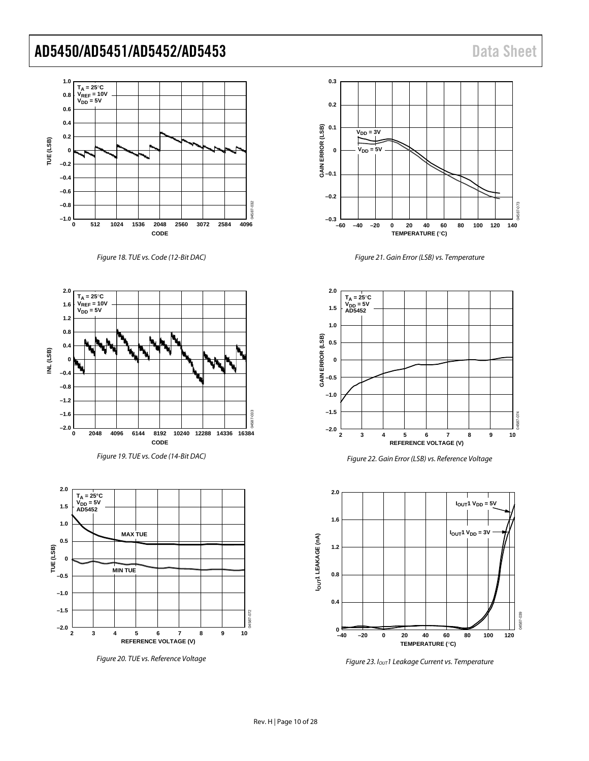

#### *Figure 18. TUE vs. Code (12-Bit DAC)*



*Figure 19. TUE vs. Code (14-Bit DAC)*



*Figure 20. TUE vs. Reference Voltage*



*Figure 21. Gain Error (LSB) vs. Temperature*



*Figure 22. Gain Error (LSB) vs. Reference Voltage*



*Figure 23. IOUT1 Leakage Current vs. Temperature*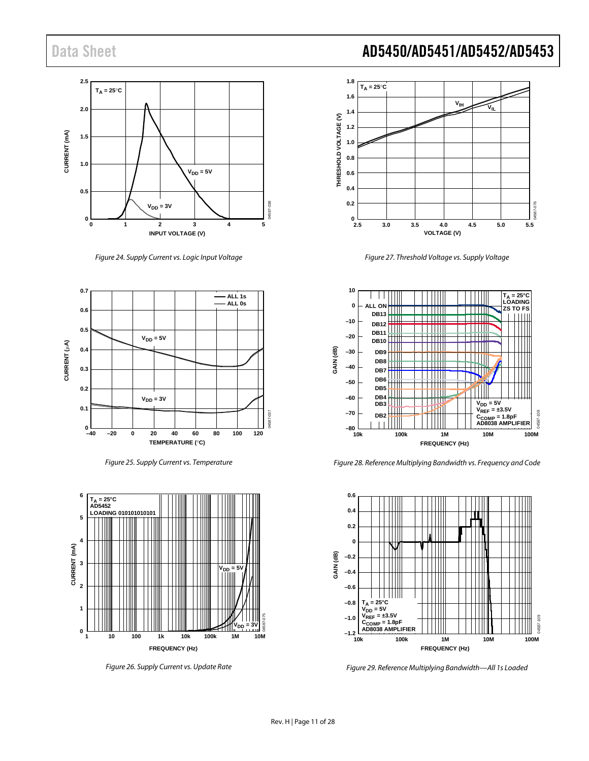

*Figure 24. Supply Current vs. Logic Input Voltage*







*Figure 26. Supply Current vs. Update Rate*



*Figure 27. Threshold Voltage vs. Supply Voltage*



*Figure 28. Reference Multiplying Bandwidth vs. Frequency and Code*



*Figure 29. Reference Multiplying Bandwidth—All 1s Loaded*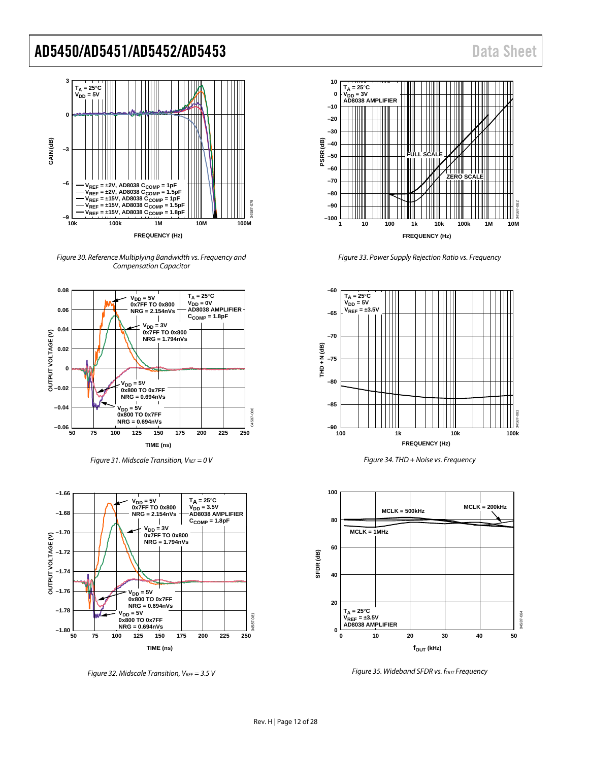

*Figure 30. Reference Multiplying Bandwidth vs. Frequency and Compensation Capacitor*



*Figure 31. Midscale Transition, VREF = 0 V* 



*Figure 32. Midscale Transition, VREF = 3.5 V*

**10 TA = 25**°**C VDD = 3V 0 AD8038 AMPLIFIER –10 –20 –30 –40 PSRR (dB)** ПШ **–50 FULL SCALE –60 ZERO SCALE –70 –80** 04587-082 **–90 –100 1 10 100 1k 10k 100k 1M 10M FREQUENCY (Hz)**

*Figure 33. Power Supply Rejection Ratio vs. Frequency*



*Figure 34. THD + Noise vs. Frequency*



*Figure 35. Wideband SFDR vs. fout Frequency*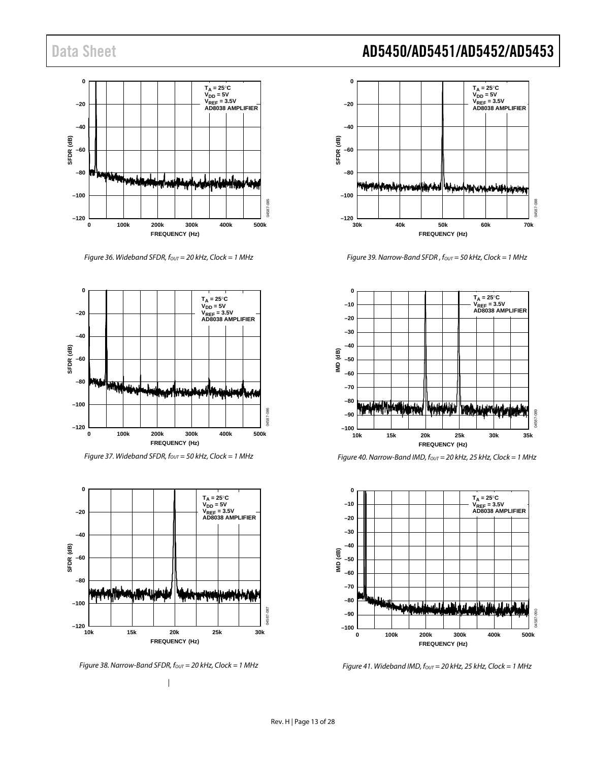

*Figure 36. Wideband SFDR, fout* = 20 kHz, Clock = 1 MHz



*Figure 37. Wideband SFDR, fout* = 50 kHz, Clock = 1 MHz



*Figure 38. Narrow-Band SFDR, f<sub>OUT</sub>* = 20 kHz, Clock = 1 MHz *|*

Data Sheet **AD5450/AD5451/AD5452/AD5453** 



*Figure 39. Narrow-Band SFDR, fout* = 50 kHz, Clock = 1 MHz



*Figure 40. Narrow-Band IMD, fout* = 20 kHz, 25 kHz, Clock = 1 MHz



*Figure 41. Wideband IMD, fOUT = 20 kHz, 25 kHz, Clock = 1 MHz*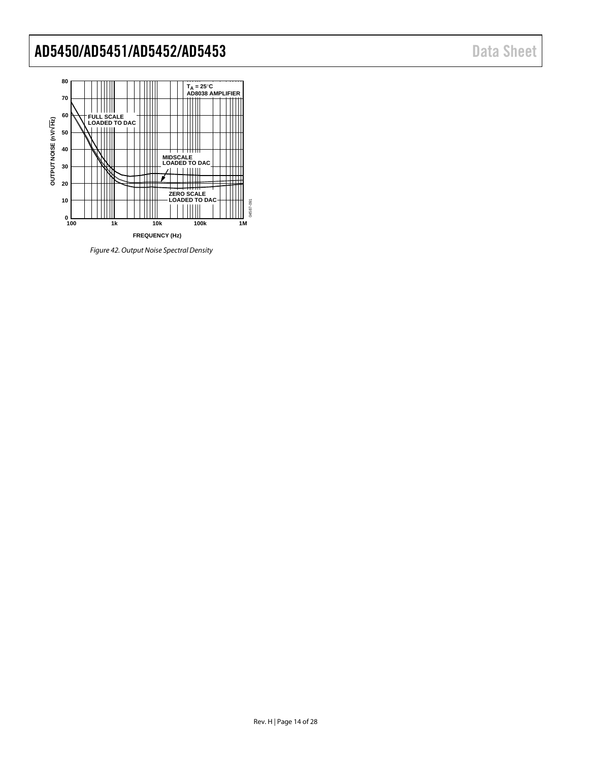

*Figure 42. Output Noise Spectral Density*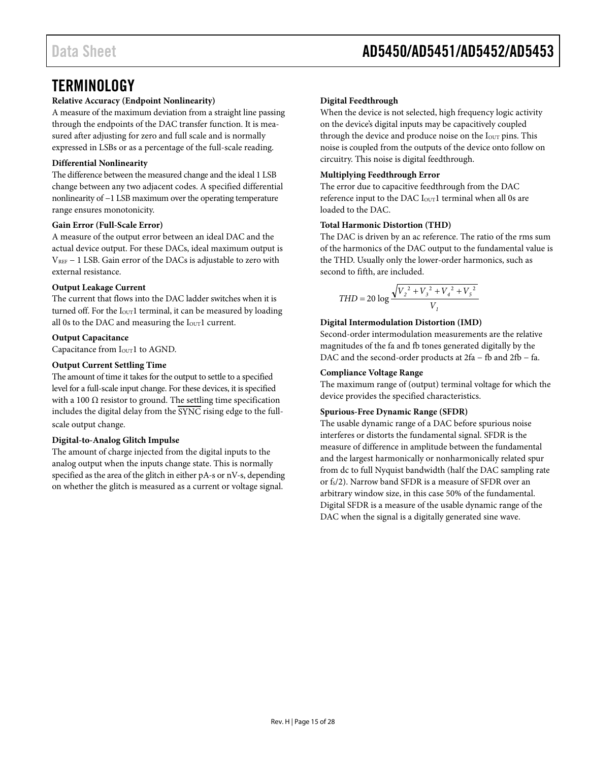### <span id="page-14-0"></span>**TERMINOLOGY**

#### **Relative Accuracy (Endpoint Nonlinearity)**

A measure of the maximum deviation from a straight line passing through the endpoints of the DAC transfer function. It is measured after adjusting for zero and full scale and is normally expressed in LSBs or as a percentage of the full-scale reading.

#### **Differential Nonlinearity**

The difference between the measured change and the ideal 1 LSB change between any two adjacent codes. A specified differential nonlinearity of −1 LSB maximum over the operating temperature range ensures monotonicity.

#### **Gain Error (Full-Scale Error)**

A measure of the output error between an ideal DAC and the actual device output. For these DACs, ideal maximum output is  $V_{REF}$  – 1 LSB. Gain error of the DACs is adjustable to zero with external resistance.

#### **Output Leakage Current**

The current that flows into the DAC ladder switches when it is turned off. For the  $I<sub>OUT</sub>1$  terminal, it can be measured by loading all 0s to the DAC and measuring the I<sub>OUT</sub>1 current.

#### **Output Capacitance**

Capacitance from I<sub>OUT</sub>1 to AGND.

#### **Output Current Settling Time**

The amount of time it takes for the output to settle to a specified level for a full-scale input change. For these devices, it is specified with a 100  $\Omega$  resistor to ground. The settling time specification includes the digital delay from the  $\overline{\text{SYNC}}$  rising edge to the fullscale output change.

#### **Digital-to-Analog Glitch Impulse**

The amount of charge injected from the digital inputs to the analog output when the inputs change state. This is normally specified as the area of the glitch in either pA-s or nV-s, depending on whether the glitch is measured as a current or voltage signal.

#### **Digital Feedthrough**

When the device is not selected, high frequency logic activity on the device's digital inputs may be capacitively coupled through the device and produce noise on the I<sub>OUT</sub> pins. This noise is coupled from the outputs of the device onto follow on circuitry. This noise is digital feedthrough.

#### **Multiplying Feedthrough Error**

The error due to capacitive feedthrough from the DAC reference input to the DAC I<sub>OUT</sub>1 terminal when all 0s are loaded to the DAC.

#### **Total Harmonic Distortion (THD)**

The DAC is driven by an ac reference. The ratio of the rms sum of the harmonics of the DAC output to the fundamental value is the THD. Usually only the lower-order harmonics, such as second to fifth, are included.

$$
THD = 20 \log \frac{\sqrt{V_2^2 + V_3^2 + V_4^2 + V_5^2}}{V_1}
$$

#### **Digital Intermodulation Distortion (IMD)**

Second-order intermodulation measurements are the relative magnitudes of the fa and fb tones generated digitally by the DAC and the second-order products at 2fa − fb and 2fb − fa.

#### **Compliance Voltage Range**

The maximum range of (output) terminal voltage for which the device provides the specified characteristics.

#### **Spurious-Free Dynamic Range (SFDR)**

The usable dynamic range of a DAC before spurious noise interferes or distorts the fundamental signal. SFDR is the measure of difference in amplitude between the fundamental and the largest harmonically or nonharmonically related spur from dc to full Nyquist bandwidth (half the DAC sampling rate or fs/2). Narrow band SFDR is a measure of SFDR over an arbitrary window size, in this case 50% of the fundamental. Digital SFDR is a measure of the usable dynamic range of the DAC when the signal is a digitally generated sine wave.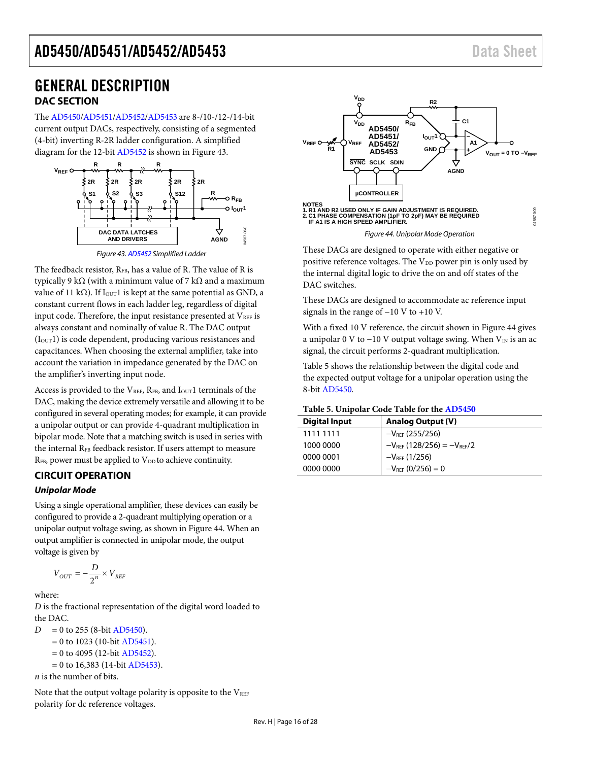### <span id="page-15-1"></span><span id="page-15-0"></span>GENERAL DESCRIPTION **DAC SECTION**

The [AD5450](http://www.analog.com/AD5450?doc=AD5450_5451_5452_5453.pdf)[/AD5451](http://www.analog.com/AD5451?doc=AD5450_5451_5452_5453.pdf)[/AD5452](http://www.analog.com/AD5452?doc=AD5450_5451_5452_5453.pdf)[/AD5453](http://www.analog.com/AD5453?doc=AD5450_5451_5452_5453.pdf) are 8-/10-/12-/14-bit current output DACs, respectively, consisting of a segmented (4-bit) inverting R-2R ladder configuration. A simplified diagram for the 12-bit [AD5452](http://www.analog.com/AD5452?doc=AD5450_5451_5452_5453.pdf) is shown i[n Figure 43.](#page-15-3) 



<span id="page-15-3"></span>The feedback resistor, RFB, has a value of R. The value of R is typically 9 kΩ (with a minimum value of 7 kΩ and a maximum value of 11 kΩ). If  $I<sub>OUT</sub>1$  is kept at the same potential as GND, a constant current flows in each ladder leg, regardless of digital input code. Therefore, the input resistance presented at  $V_{REF}$  is always constant and nominally of value R. The DAC output  $(I<sub>OUT</sub>1)$  is code dependent, producing various resistances and capacitances. When choosing the external amplifier, take into account the variation in impedance generated by the DAC on the amplifier's inverting input node.

Access is provided to the  $V_{REF}$ ,  $R_{FB}$ , and  $I_{OUT}1$  terminals of the DAC, making the device extremely versatile and allowing it to be configured in several operating modes; for example, it can provide a unipolar output or can provide 4-quadrant multiplication in bipolar mode. Note that a matching switch is used in series with the internal R<sub>FB</sub> feedback resistor. If users attempt to measure  $R_{FB}$ , power must be applied to  $V_{DD}$  to achieve continuity.

### <span id="page-15-2"></span>**CIRCUIT OPERATION**

#### *Unipolar Mode*

Using a single operational amplifier, these devices can easily be configured to provide a 2-quadrant multiplying operation or a unipolar output voltage swing, as shown i[n Figure 44.](#page-15-4) When an output amplifier is connected in unipolar mode, the output voltage is given by

$$
V_{OUT} = -\frac{D}{2^n} \times V_{REF}
$$

where:

*D* is the fractional representation of the digital word loaded to the DAC.

- $D = 0$  to 255 (8-bi[t AD5450\)](http://www.analog.com/AD5450?doc=AD5450_5451_5452_5453.pdf).
	- $= 0$  to 1023 (10-bi[t AD5451\)](http://www.analog.com/AD5451?doc=AD5450_5451_5452_5453.pdf).
	- $= 0$  to 4095 (12-bi[t AD5452\)](http://www.analog.com/AD5452?doc=AD5450_5451_5452_5453.pdf).
	- $= 0$  to 16,383 (14-bi[t AD5453\)](http://www.analog.com/AD5453?doc=AD5450_5451_5452_5453.pdf).

*n* is the number of bits.

Note that the output voltage polarity is opposite to the  $V_{REF}$ polarity for dc reference voltages.



*Figure 44. Unipolar Mode Operation*

<span id="page-15-4"></span>These DACs are designed to operate with either negative or positive reference voltages. The V<sub>DD</sub> power pin is only used by the internal digital logic to drive the on and off states of the DAC switches.

These DACs are designed to accommodate ac reference input signals in the range of −10 V to +10 V.

With a fixed 10 V reference, the circuit shown in [Figure 44](#page-15-4) gives a unipolar 0 V to −10 V output voltage swing. When  $V_{IN}$  is an ac signal, the circuit performs 2-quadrant multiplication.

[Table 5](#page-15-5) shows the relationship between the digital code and the expected output voltage for a unipolar operation using the 8-bit [AD5450.](http://www.analog.com/AD5450?doc=AD5450_5451_5452_5453.pdf)

#### <span id="page-15-5"></span>**Table 5. Unipolar Code Table for the [AD5450](http://www.analog.com/AD5450?doc=AD5450_5451_5452_5453.pdf)**

| <b>Digital Input</b> | <b>Analog Output (V)</b>            |
|----------------------|-------------------------------------|
| 1111 1111            | $-V_{REF}$ (255/256)                |
| 1000 0000            | $-V_{REF}$ (128/256) = $-V_{REF}/2$ |
| 0000 0001            | $-V_{RFF}$ (1/256)                  |
| 0000 0000            | $-V_{REF}$ (0/256) = 0              |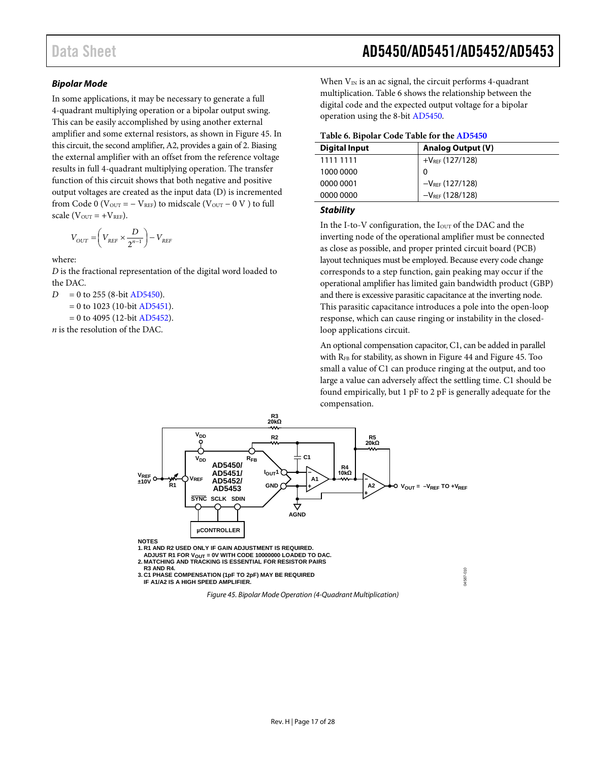#### *Bipolar Mode*

In some applications, it may be necessary to generate a full 4-quadrant multiplying operation or a bipolar output swing. This can be easily accomplished by using another external amplifier and some external resistors, as shown in [Figure 45.](#page-16-0) In this circuit, the second amplifier, A2, provides a gain of 2. Biasing the external amplifier with an offset from the reference voltage results in full 4-quadrant multiplying operation. The transfer function of this circuit shows that both negative and positive output voltages are created as the input data (D) is incremented from Code 0 ( $V_{\text{OUT}} = -V_{\text{REF}}$ ) to midscale ( $V_{\text{OUT}} - 0 V$ ) to full scale ( $V_{OUT}$  = + $V_{REF}$ ).

$$
V_{OUT} = \left(V_{REF} \times \frac{D}{2^{n-1}}\right) - V_{REF}
$$

where:

*D* is the fractional representation of the digital word loaded to the DAC.

 $D = 0$  to 255 (8-bi[t AD5450\)](http://www.analog.com/AD5450?doc=AD5450_5451_5452_5453.pdf).

 $= 0$  to 1023 (10-bi[t AD5451\)](http://www.analog.com/AD5451?doc=AD5450_5451_5452_5453.pdf).

 $= 0$  to 4095 (12-bi[t AD5452\)](http://www.analog.com/AD5452?doc=AD5450_5451_5452_5453.pdf).

*n* is the resolution of the DAC.

When  $V_{IN}$  is an ac signal, the circuit performs 4-quadrant multiplication. [Table 6](#page-16-1) shows the relationship between the digital code and the expected output voltage for a bipolar operation using the 8-bit [AD5450.](http://www.analog.com/AD5450?doc=AD5450_5451_5452_5453.pdf)

#### <span id="page-16-1"></span>**Table 6. Bipolar Code Table for th[e AD5450](http://www.analog.com/AD5450?doc=AD5450_5451_5452_5453.pdf)**

| <b>Digital Input</b> | <b>Analog Output (V)</b> |  |
|----------------------|--------------------------|--|
| 1111 1111            | $+V_{REF}$ (127/128)     |  |
| 1000 0000            | 0                        |  |
| 0000 0001            | $-V_{REF}$ (127/128)     |  |
| 0000 0000            | $-V_{REF}$ (128/128)     |  |

#### *Stability*

In the I-to-V configuration, the I<sub>OUT</sub> of the DAC and the inverting node of the operational amplifier must be connected as close as possible, and proper printed circuit board (PCB) layout techniques must be employed. Because every code change corresponds to a step function, gain peaking may occur if the operational amplifier has limited gain bandwidth product (GBP) and there is excessive parasitic capacitance at the inverting node. This parasitic capacitance introduces a pole into the open-loop response, which can cause ringing or instability in the closedloop applications circuit.

An optional compensation capacitor, C1, can be added in parallel with  $R_{FB}$  for stability, as shown i[n Figure 44](#page-15-4) and [Figure 45.](#page-16-0) Too small a value of C1 can produce ringing at the output, and too large a value can adversely affect the settling time. C1 should be found empirically, but 1 pF to 2 pF is generally adequate for the compensation.



<span id="page-16-0"></span>**3. C1 PHASE COMPENSATION (1pF TO 2pF) MAY BE REQUIRED IF A1/A2 IS A HIGH SPEED AMPLIFIER.**

*Figure 45. Bipolar Mode Operation (4-Quadrant Multiplication)*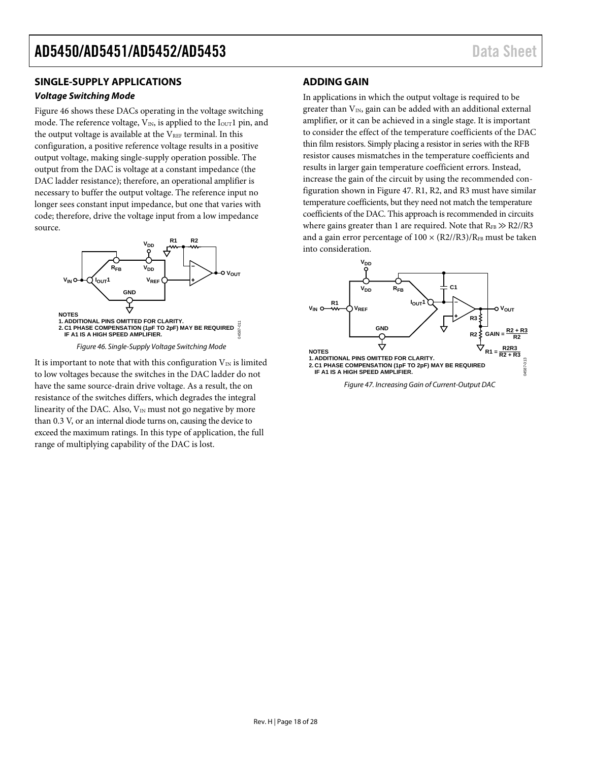#### <span id="page-17-0"></span>**SINGLE-SUPPLY APPLICATIONS**

#### *Voltage Switching Mode*

[Figure 46](#page-17-2) shows these DACs operating in the voltage switching mode. The reference voltage,  $V_{IN}$ , is applied to the  $I_{OUT}1$  pin, and the output voltage is available at the  $V_{REF}$  terminal. In this configuration, a positive reference voltage results in a positive output voltage, making single-supply operation possible. The output from the DAC is voltage at a constant impedance (the DAC ladder resistance); therefore, an operational amplifier is necessary to buffer the output voltage. The reference input no longer sees constant input impedance, but one that varies with code; therefore, drive the voltage input from a low impedance source.



*Figure 46. Single-Supply Voltage Switching Mode*

<span id="page-17-2"></span>It is important to note that with this configuration  $V_{IN}$  is limited to low voltages because the switches in the DAC ladder do not have the same source-drain drive voltage. As a result, the on resistance of the switches differs, which degrades the integral linearity of the DAC. Also,  $V_{IN}$  must not go negative by more than 0.3 V, or an internal diode turns on, causing the device to exceed the maximum ratings. In this type of application, the full range of multiplying capability of the DAC is lost.

#### <span id="page-17-1"></span>**ADDING GAIN**

In applications in which the output voltage is required to be greater than  $V_{IN}$ , gain can be added with an additional external amplifier, or it can be achieved in a single stage. It is important to consider the effect of the temperature coefficients of the DAC thin film resistors. Simply placing a resistor in series with the RFB resistor causes mismatches in the temperature coefficients and results in larger gain temperature coefficient errors. Instead, increase the gain of the circuit by using the recommended configuration shown in [Figure 47.](#page-17-3) R1, R2, and R3 must have similar temperature coefficients, but they need not match the temperature coefficients of the DAC. This approach is recommended in circuits where gains greater than 1 are required. Note that  $R_{FB} \gg R2/(R3)$ and a gain error percentage of  $100 \times (R2/(R3))$ /RFB must be taken into consideration.

<span id="page-17-3"></span>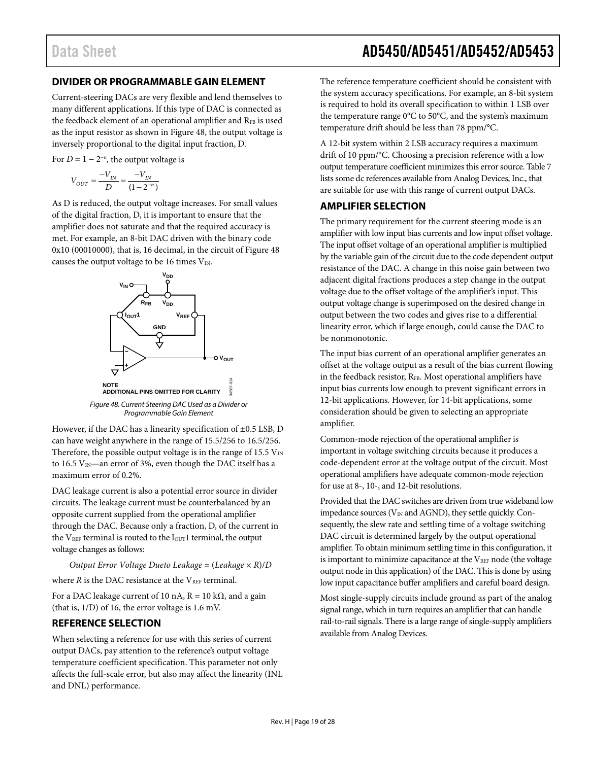#### <span id="page-18-0"></span>**DIVIDER OR PROGRAMMABLE GAIN ELEMENT**

Current-steering DACs are very flexible and lend themselves to many different applications. If this type of DAC is connected as the feedback element of an operational amplifier and RFB is used as the input resistor as shown in [Figure 48,](#page-18-3) the output voltage is inversely proportional to the digital input fraction, D.

For  $D = 1 - 2^{-n}$ , the output voltage is

$$
V_{OUT} = \frac{-V_{IN}}{D} = \frac{-V_{IN}}{(1 - 2^{-n})}
$$

As D is reduced, the output voltage increases. For small values of the digital fraction, D, it is important to ensure that the amplifier does not saturate and that the required accuracy is met. For example, an 8-bit DAC driven with the binary code 0x10 (00010000), that is, 16 decimal, in the circuit of [Figure 48](#page-18-3) causes the output voltage to be 16 times  $V_{\text{IN}}$ .



<span id="page-18-3"></span>However, if the DAC has a linearity specification of ±0.5 LSB, D can have weight anywhere in the range of 15.5/256 to 16.5/256. Therefore, the possible output voltage is in the range of 15.5  $V_{\text{IN}}$ to 16.5  $V_{\text{IN}}$ —an error of 3%, even though the DAC itself has a maximum error of 0.2%.

DAC leakage current is also a potential error source in divider circuits. The leakage current must be counterbalanced by an opposite current supplied from the operational amplifier through the DAC. Because only a fraction, D, of the current in the V<sub>REF</sub> terminal is routed to the I<sub>OUT</sub>1 terminal, the output voltage changes as follows:

*Output Error Voltage Dueto Leakage* = (*Leakage* × *R*)/*D*

where  $R$  is the DAC resistance at the  $V_{REF}$  terminal.

For a DAC leakage current of 10 nA,  $R = 10 \text{ k}\Omega$ , and a gain (that is, 1/D) of 16, the error voltage is 1.6 mV.

#### <span id="page-18-1"></span>**REFERENCE SELECTION**

When selecting a reference for use with this series of current output DACs, pay attention to the reference's output voltage temperature coefficient specification. This parameter not only affects the full-scale error, but also may affect the linearity (INL and DNL) performance.

The reference temperature coefficient should be consistent with the system accuracy specifications. For example, an 8-bit system is required to hold its overall specification to within 1 LSB over the temperature range 0°C to 50°C, and the system's maximum temperature drift should be less than 78 ppm/°C.

A 12-bit system within 2 LSB accuracy requires a maximum drift of 10 ppm/°C. Choosing a precision reference with a low output temperature coefficient minimizes this error source[. Table 7](#page-19-0) lists some dc references available from Analog Devices, Inc., that are suitable for use with this range of current output DACs.

#### <span id="page-18-2"></span>**AMPLIFIER SELECTION**

The primary requirement for the current steering mode is an amplifier with low input bias currents and low input offset voltage. The input offset voltage of an operational amplifier is multiplied by the variable gain of the circuit due to the code dependent output resistance of the DAC. A change in this noise gain between two adjacent digital fractions produces a step change in the output voltage due to the offset voltage of the amplifier's input. This output voltage change is superimposed on the desired change in output between the two codes and gives rise to a differential linearity error, which if large enough, could cause the DAC to be nonmonotonic.

The input bias current of an operational amplifier generates an offset at the voltage output as a result of the bias current flowing in the feedback resistor,  $R_{FB}$ . Most operational amplifiers have input bias currents low enough to prevent significant errors in 12-bit applications. However, for 14-bit applications, some consideration should be given to selecting an appropriate amplifier.

Common-mode rejection of the operational amplifier is important in voltage switching circuits because it produces a code-dependent error at the voltage output of the circuit. Most operational amplifiers have adequate common-mode rejection for use at 8-, 10-, and 12-bit resolutions.

Provided that the DAC switches are driven from true wideband low impedance sources ( $V_{IN}$  and AGND), they settle quickly. Consequently, the slew rate and settling time of a voltage switching DAC circuit is determined largely by the output operational amplifier. To obtain minimum settling time in this configuration, it is important to minimize capacitance at the VREF node (the voltage output node in this application) of the DAC. This is done by using low input capacitance buffer amplifiers and careful board design.

Most single-supply circuits include ground as part of the analog signal range, which in turn requires an amplifier that can handle rail-to-rail signals. There is a large range of single-supply amplifiers available from Analog Devices.

Data Sheet **AD5450/AD5451/AD5452/AD5453**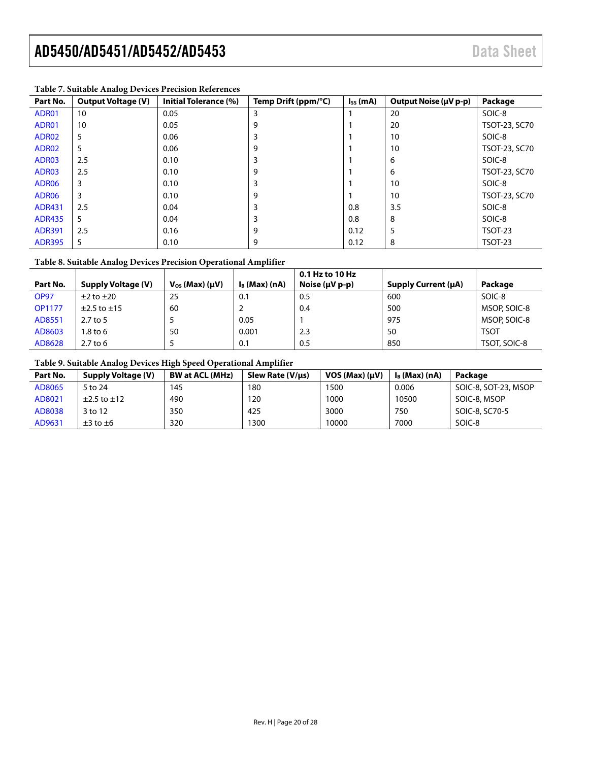| Part No.          | <b>Output Voltage (V)</b> | Initial Tolerance (%) | Temp Drift (ppm/°C) | $I_{SS}$ (mA) | Output Noise (µV p-p) | Package        |
|-------------------|---------------------------|-----------------------|---------------------|---------------|-----------------------|----------------|
| ADR01             | 10                        | 0.05                  | 3                   |               | 20                    | SOIC-8         |
| ADR01             | 10                        | 0.05                  | 9                   |               | 20                    | TSOT-23, SC70  |
| ADR02             | 5                         | 0.06                  |                     |               | 10                    | SOIC-8         |
| ADR02             | 5                         | 0.06                  | 9                   |               | 10                    | TSOT-23, SC70  |
| ADR03             | 2.5                       | 0.10                  |                     |               | 6                     | SOIC-8         |
| ADR03             | 2.5                       | 0.10                  | 9                   |               | 6                     | TSOT-23, SC70  |
| ADR <sub>06</sub> | 3                         | 0.10                  | 3                   |               | 10                    | SOIC-8         |
| ADR <sub>06</sub> | 3                         | 0.10                  | 9                   |               | 10                    | TSOT-23, SC70  |
| <b>ADR431</b>     | 2.5                       | 0.04                  |                     | 0.8           | 3.5                   | SOIC-8         |
| <b>ADR435</b>     | 5                         | 0.04                  |                     | 0.8           | 8                     | SOIC-8         |
| <b>ADR391</b>     | 2.5                       | 0.16                  | 9                   | 0.12          | 5                     | <b>TSOT-23</b> |
| <b>ADR395</b>     | 5                         | 0.10                  | 9                   | 0.12          | 8                     | TSOT-23        |

#### <span id="page-19-0"></span>**Table 7. Suitable Analog Devices Precision References**

#### **Table 8. Suitable Analog Devices Precision Operational Amplifier**

|               |                           |                           |                  | 0.1 Hz to 10 Hz       |                     |              |
|---------------|---------------------------|---------------------------|------------------|-----------------------|---------------------|--------------|
| Part No.      | <b>Supply Voltage (V)</b> | $V_{OS}$ (Max) ( $\mu$ V) | $I_B$ (Max) (nA) | Noise $(\mu V p - p)$ | Supply Current (µA) | Package      |
| <b>OP97</b>   | $\pm 2$ to $\pm 20$       | 25                        | 0.1              | 0.5                   | 600                 | SOIC-8       |
| <b>OP1177</b> | $\pm$ 2.5 to $\pm$ 15     | 60                        |                  | 0.4                   | 500                 | MSOP, SOIC-8 |
| AD8551        | $2.7$ to 5                |                           | 0.05             |                       | 975                 | MSOP, SOIC-8 |
| AD8603        | $1.8$ to 6                | 50                        | 0.001            | 2.3                   | 50                  | <b>TSOT</b>  |
| AD8628        | $2.7$ to 6                |                           | 0.1              | 0.5                   | 850                 | TSOT, SOIC-8 |

#### **Table 9. Suitable Analog Devices High Speed Operational Amplifier**

| Part No. | Supply Voltage (V)    | <b>BW at ACL (MHz)</b> | Slew Rate (V/µs) | $VOS (Max) (\mu V)$ | $I_B$ (Max) (nA) | Package              |
|----------|-----------------------|------------------------|------------------|---------------------|------------------|----------------------|
| AD8065   | 5 to 24               | 145                    | 180              | 1500                | 0.006            | SOIC-8, SOT-23, MSOP |
| AD8021   | $\pm$ 2.5 to $\pm$ 12 | 490                    | 120              | 1000                | 10500            | SOIC-8, MSOP         |
| AD8038   | 3 to 12               | 350                    | 425              | 3000                | 750              | SOIC-8, SC70-5       |
| AD9631   | $\pm 3$ to $\pm 6$    | 320                    | 1300             | 10000               | 7000             | SOIC-8               |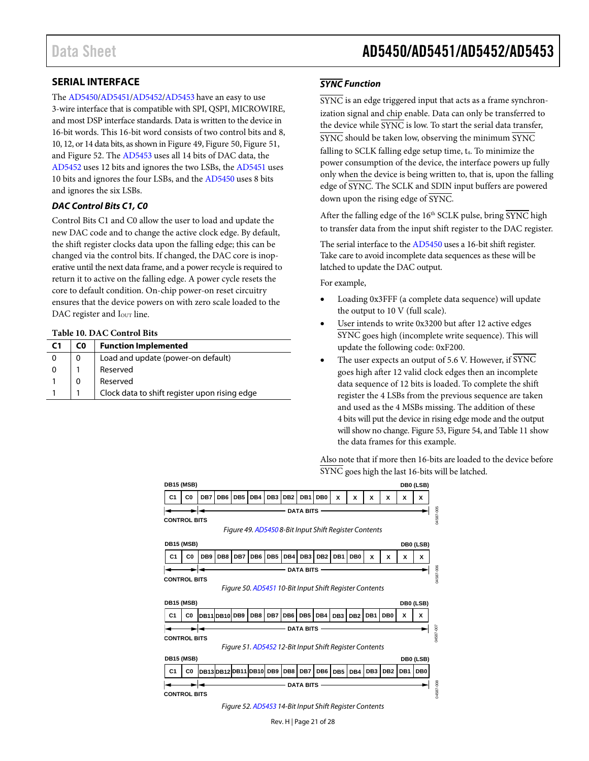#### <span id="page-20-0"></span>**SERIAL INTERFACE**

The [AD5450](http://www.analog.com/AD5450?doc=AD5450_5451_5452_5453.pdf)[/AD5451](http://www.analog.com/AD5451?doc=AD5450_5451_5452_5453.pdf)[/AD5452](http://www.analog.com/AD5452?doc=AD5450_5451_5452_5453.pdf)[/AD5453](http://www.analog.com/AD5453?doc=AD5450_5451_5452_5453.pdf) have an easy to use 3-wire interface that is compatible with SPI, QSPI, MICROWIRE, and most DSP interface standards. Data is written to the device in 16-bit words. This 16-bit word consists of two control bits and 8, 10, 12, or 14 data bits, as shown i[n Figure 49,](#page-20-1) [Figure 50,](#page-20-2) [Figure 51,](#page-20-3) an[d Figure 52.](#page-20-4) Th[e AD5453](http://www.analog.com/AD5453?doc=AD5450_5451_5452_5453.pdf) uses all 14 bits of DAC data, the [AD5452](http://www.analog.com/AD5452?doc=AD5450_5451_5452_5453.pdf) uses 12 bits and ignores the two LSBs, the [AD5451](http://www.analog.com/AD5451?doc=AD5450_5451_5452_5453.pdf) uses 10 bits and ignores the four LSBs, and the [AD5450](http://www.analog.com/AD5450?doc=AD5450_5451_5452_5453.pdf) uses 8 bits and ignores the six LSBs.

#### *DAC Control Bits C1, C0*

Control Bits C1 and C0 allow the user to load and update the new DAC code and to change the active clock edge. By default, the shift register clocks data upon the falling edge; this can be changed via the control bits. If changed, the DAC core is inoperative until the next data frame, and a power recycle is required to return it to active on the falling edge. A power cycle resets the core to default condition. On-chip power-on reset circuitry ensures that the device powers on with zero scale loaded to the DAC register and I<sub>OUT</sub> line.

#### **Table 10. DAC Control Bits**

| C <sub>1</sub> | C0 | <b>Function Implemented</b>                   |
|----------------|----|-----------------------------------------------|
| 0              |    | Load and update (power-on default)            |
| 0              |    | Reserved                                      |
|                |    | Reserved                                      |
|                |    | Clock data to shift register upon rising edge |

#### *SYNC Function*

SYNC is an edge triggered input that acts as a frame synchronization signal and chip enable. Data can only be transferred to the device while  $\overline{\text{SYNC}}$  is low. To start the serial data transfer, SYNC should be taken low, observing the minimum SYNC falling to SCLK falling edge setup time, t<sub>4</sub>. To minimize the power consumption of the device, the interface powers up fully only when the device is being written to, that is, upon the falling edge of SYNC. The SCLK and SDIN input buffers are powered down upon the rising edge of SYNC.

After the falling edge of the  $16<sup>th</sup>$  SCLK pulse, bring  $\overline{\text{SYNC}}$  high to transfer data from the input shift register to the DAC register.

The serial interface to the [AD5450](http://www.analog.com/AD5450?doc=AD5450_5451_5452_5453.pdf) uses a 16-bit shift register. Take care to avoid incomplete data sequences as these will be latched to update the DAC output.

For example,

- Loading 0x3FFF (a complete data sequence) will update the output to 10 V (full scale).
- User intends to write 0x3200 but after 12 active edges SYNC goes high (incomplete write sequence). This will update the following code: 0xF200.
- The user expects an output of 5.6 V. However, if SYNC goes high after 12 valid clock edges then an incomplete data sequence of 12 bits is loaded. To complete the shift register the 4 LSBs from the previous sequence are taken and used as the 4 MSBs missing. The addition of these 4 bits will put the device in rising edge mode and the output will show no change[. Figure 53,](#page-21-1) [Figure 54,](#page-21-2) an[d Table 11](#page-21-3) show the data frames for this example.

Also note that if more then 16-bits are loaded to the device before SYNC goes high the last 16-bits will be latched.

<span id="page-20-3"></span><span id="page-20-2"></span><span id="page-20-1"></span>

<span id="page-20-4"></span>Rev. H | Page 21 of 28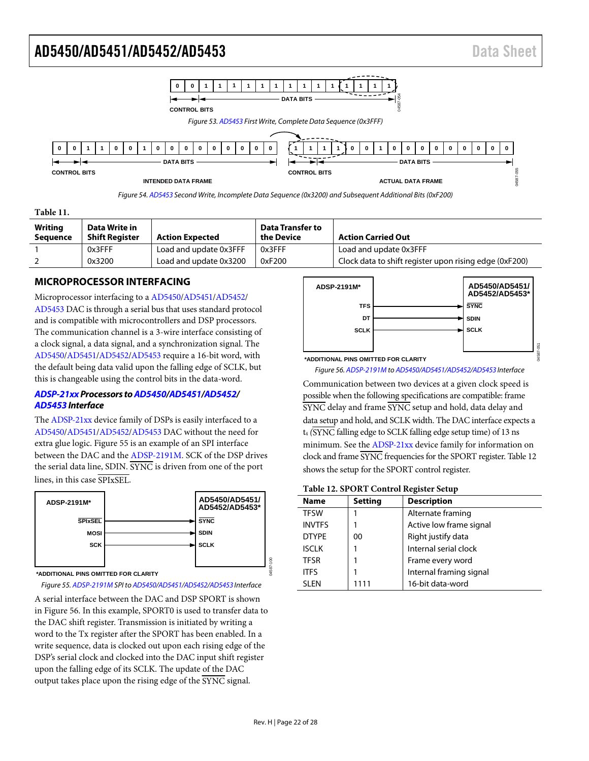<span id="page-21-1"></span>



<span id="page-21-3"></span><span id="page-21-2"></span>

| Table 11.                         |                                        |                        |                                       |                                                        |
|-----------------------------------|----------------------------------------|------------------------|---------------------------------------|--------------------------------------------------------|
| <b>Writing</b><br><b>Sequence</b> | Data Write in<br><b>Shift Register</b> | <b>Action Expected</b> | <b>Data Transfer to</b><br>the Device | <b>Action Carried Out</b>                              |
|                                   | 0x3FFF                                 | Load and update 0x3FFF | 0x3FFF                                | Load and update 0x3FFF                                 |
|                                   | 0x3200                                 | Load and update 0x3200 | 0xF200                                | Clock data to shift register upon rising edge (0xF200) |

#### <span id="page-21-0"></span>**MICROPROCESSOR INTERFACING**

Microprocessor interfacing to [a AD5450](http://www.analog.com/AD5450?doc=AD5450_5451_5452_5453.pdf)[/AD5451/](http://www.analog.com/AD5451?doc=AD5450_5451_5452_5453.pdf)[AD5452/](http://www.analog.com/AD5452?doc=AD5450_5451_5452_5453.pdf) [AD5453 D](http://www.analog.com/AD5453?doc=AD5450_5451_5452_5453.pdf)AC is through a serial bus that uses standard protocol and is compatible with microcontrollers and DSP processors. The communication channel is a 3-wire interface consisting of a clock signal, a data signal, and a synchronization signal. The [AD5450](http://www.analog.com/AD5450?doc=AD5450_5451_5452_5453.pdf)[/AD5451](http://www.analog.com/AD5451?doc=AD5450_5451_5452_5453.pdf)[/AD5452](http://www.analog.com/AD5452?doc=AD5450_5451_5452_5453.pdf)[/AD5453](http://www.analog.com/AD5453?doc=AD5450_5451_5452_5453.pdf) require a 16-bit word, with the default being data valid upon the falling edge of SCLK, but this is changeable using the control bits in the data-word.

#### **[ADSP-21xx P](http://www.analog.com/adsp-21xx-processors?doc=AD5450_5451_5452_5453.pdf)rocessors t[o AD5450](http://www.analog.com/AD5450?doc=AD5450_5451_5452_5453.pdf)[/AD5451](http://www.analog.com/AD5451?doc=AD5450_5451_5452_5453.pdf)[/AD5452/](http://www.analog.com/AD5452?doc=AD5450_5451_5452_5453.pdf) [AD5453 I](http://www.analog.com/AD5453?doc=AD5450_5451_5452_5453.pdf)nterface**

The [ADSP-21xx d](http://www.analog.com/adsp-21xx-processors?doc=AD5450_5451_5452_5453.pdf)evice family of DSPs is easily interfaced to a [AD5450](http://www.analog.com/AD5450?doc=AD5450_5451_5452_5453.pdf)[/AD5451/](http://www.analog.com/AD5451?doc=AD5450_5451_5452_5453.pdf)[AD5452](http://www.analog.com/AD5452?doc=AD5450_5451_5452_5453.pdf)[/AD5453 D](http://www.analog.com/AD5453?doc=AD5450_5451_5452_5453.pdf)AC without the need for extra glue logic. [Figure 55 i](#page-21-4)s an example of an SPI interface between the DAC and the [ADSP-2191M.](http://www.analog.com/ADSP-2191M?doc=AD5450_5451_5452_5453.pdf) SCK of the DSP drives the serial data line, SDIN. SYNC is driven from one of the port lines, in this case SPIxSEL.



**\*ADDITIONAL PINS OMITTED FOR CLARITY**

<span id="page-21-4"></span>Figure 55[. ADSP-2191M S](http://www.analog.com/ADSP-2191M?doc=AD5450_5451_5452_5453.pdf)PI t[o AD5450/](http://www.analog.com/AD5450?doc=AD5450_5451_5452_5453.pdf)[AD5451](http://www.analog.com/AD5451?doc=AD5450_5451_5452_5453.pdf)[/AD5452](http://www.analog.com/AD5452?doc=AD5450_5451_5452_5453.pdf)[/AD5453 I](http://www.analog.com/AD5453?doc=AD5450_5451_5452_5453.pdf)nterface

A serial interface between the DAC and DSP SPORT is shown in [Figure 56.](#page-21-5) In this example, SPORT0 is used to transfer data to the DAC shift register. Transmission is initiated by writing a word to the Tx register after the SPORT has been enabled. In a write sequence, data is clocked out upon each rising edge of the DSP's serial clock and clocked into the DAC input shift register upon the falling edge of its SCLK. The update of the DAC output takes place upon the rising edge of the SYNC signal.



<span id="page-21-5"></span>Figure 56[. ADSP-2191M t](http://www.analog.com/ADSP-2191M?doc=AD5450_5451_5452_5453.pdf)[o AD5450](http://www.analog.com/AD5450?doc=AD5450_5451_5452_5453.pdf)[/AD5451/](http://www.analog.com/AD5451?doc=AD5450_5451_5452_5453.pdf)[AD5452/](http://www.analog.com/AD5452?doc=AD5450_5451_5452_5453.pdf)[AD5453 I](http://www.analog.com/AD5453?doc=AD5450_5451_5452_5453.pdf)nterface

Communication between two devices at a given clock speed is possible when the following specifications are compatible: frame SYNC delay and frame SYNC setup and hold, data delay and data setup and hold, and SCLK width. The DAC interface expects a t4 *(*SYNC falling edge to SCLK falling edge setup time) of 13 ns minimum. See the [ADSP-21xx d](http://www.analog.com/adsp-21xx-processors?doc=AD5450_5451_5452_5453.pdf)evice family for information on clock and frame SYNC frequencies for the SPORT register[. Table 12](#page-21-6)  shows the setup for the SPORT control register.

<span id="page-21-6"></span>

| Table 12. SPORT Control Register Setup |  |  |  |  |
|----------------------------------------|--|--|--|--|
|----------------------------------------|--|--|--|--|

| <b>Name</b>   | <b>Setting</b> | <b>Description</b>      |
|---------------|----------------|-------------------------|
| <b>TFSW</b>   |                | Alternate framing       |
| <b>INVTFS</b> |                | Active low frame signal |
| <b>DTYPE</b>  | 00             | Right justify data      |
| <b>ISCLK</b>  |                | Internal serial clock   |
| <b>TFSR</b>   |                | Frame every word        |
| <b>ITFS</b>   |                | Internal framing signal |
| <b>SLEN</b>   |                | 16-bit data-word        |
|               |                |                         |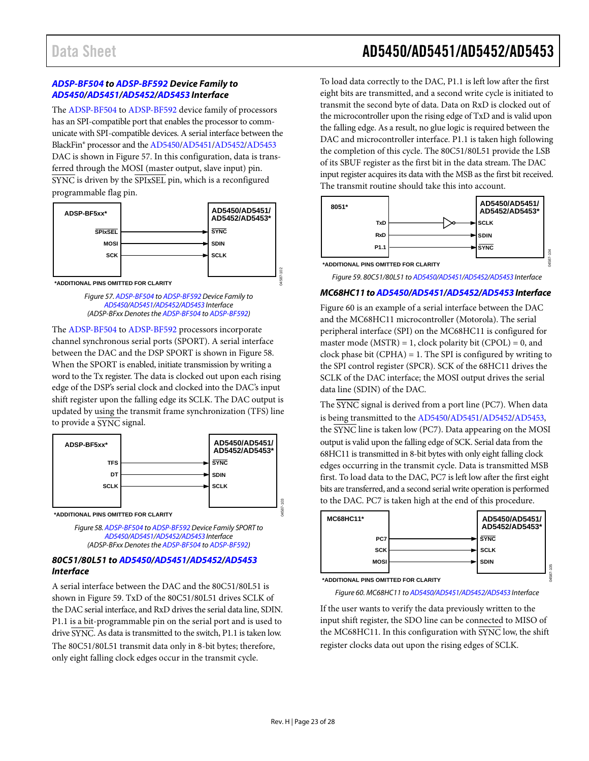#### *[ADSP-BF504](http://www.analog.com/ADSP-BF504?doc=AD5450_5451_5452_5453.pdf) to [ADSP-BF592](http://www.analog.com/ADSP-BF592?doc=AD5450_5451_5452_5453.pdf) Device Family to [AD5450/](http://www.analog.com/AD5450?doc=AD5450_5451_5452_5453.pdf)[AD5451](http://www.analog.com/AD5451?doc=AD5450_5451_5452_5453.pdf)[/AD5452/](http://www.analog.com/AD5452?doc=AD5450_5451_5452_5453.pdf)[AD5453](http://www.analog.com/AD5453?doc=AD5450_5451_5452_5453.pdf) Interface*

The [ADSP-BF504](http://www.analog.com/ADSP-BF504?doc=AD5450_5451_5452_5453.pdf) t[o ADSP-BF592](http://www.analog.com/ADSP-BF592?doc=AD5450_5451_5452_5453.pdf) device family of processors has an SPI-compatible port that enables the processor to communicate with SPI-compatible devices. A serial interface between the BlackFin® processor and th[e AD5450/](http://www.analog.com/AD5450?doc=AD5450_5451_5452_5453.pdf)[AD5451/](http://www.analog.com/AD5451?doc=AD5450_5451_5452_5453.pdf)[AD5452/](http://www.analog.com/AD5452?doc=AD5450_5451_5452_5453.pdf)[AD5453](http://www.analog.com/AD5453?doc=AD5450_5451_5452_5453.pdf) DAC is shown i[n Figure](#page-22-0) 57. In this configuration, data is transferred through the MOSI (master output, slave input) pin. SYNC is driven by the SPIxSEL pin, which is a reconfigured programmable flag pin.



<span id="page-22-0"></span>**\*ADDITIONAL PINS OMITTED FOR CLARITY**

*Figure 57[. ADSP-BF504](http://www.analog.com/ADSP-BF504?doc=AD5450_5451_5452_5453.pdf) t[o ADSP-BF592](http://www.analog.com/ADSP-BF592?doc=AD5450_5451_5452_5453.pdf) Device Family to [AD5450/](http://www.analog.com/AD5450?doc=AD5450_5451_5452_5453.pdf)[AD5451/](http://www.analog.com/AD5451?doc=AD5450_5451_5452_5453.pdf)[AD5452](http://www.analog.com/AD5452?doc=AD5450_5451_5452_5453.pdf)[/AD5453](http://www.analog.com/AD5453?doc=AD5450_5451_5452_5453.pdf) Interface (ADSP-BFxx Denotes th[e ADSP-BF504](http://www.analog.com/ADSP-BF504?doc=AD5450_5451_5452_5453.pdf) t[o ADSP-BF592\)](http://www.analog.com/ADSP-BF592?doc=AD5450_5451_5452_5453.pdf)*

The [ADSP-BF504](http://www.analog.com/ADSP-BF504?doc=AD5450_5451_5452_5453.pdf) t[o ADSP-BF592](http://www.analog.com/ADSP-BF592?doc=AD5450_5451_5452_5453.pdf) processors incorporate channel synchronous serial ports (SPORT). A serial interface between the DAC and the DSP SPORT is shown i[n Figure](#page-22-1) 58. When the SPORT is enabled, initiate transmission by writing a word to the Tx register. The data is clocked out upon each rising edge of the DSP's serial clock and clocked into the DAC's input shift register upon the falling edge its SCLK. The DAC output is updated by using the transmit frame synchronization (TFS) line to provide a SYNC signal.



<span id="page-22-1"></span>*Figure 58[. ADSP-BF504](http://www.analog.com/ADSP-BF504?doc=AD5450_5451_5452_5453.pdf) t[o ADSP-BF592](http://www.analog.com/ADSP-BF592?doc=AD5450_5451_5452_5453.pdf) Device Family SPORT to [AD5450/](http://www.analog.com/AD5450?doc=AD5450_5451_5452_5453.pdf)[AD5451](http://www.analog.com/AD5451?doc=AD5450_5451_5452_5453.pdf)[/AD5452/](http://www.analog.com/AD5452?doc=AD5450_5451_5452_5453.pdf)[AD5453](http://www.analog.com/AD5453?doc=AD5450_5451_5452_5453.pdf) Interface (ADSP-BFxx Denotes th[e ADSP-BF504](http://www.analog.com/ADSP-BF504?doc=AD5450_5451_5452_5453.pdf) t[o ADSP-BF592\)](http://www.analog.com/ADSP-BF592?doc=AD5450_5451_5452_5453.pdf)*

#### *80C51/80L51 to [AD5450/](http://www.analog.com/AD5450?doc=AD5450_5451_5452_5453.pdf)[AD5451](http://www.analog.com/AD5451?doc=AD5450_5451_5452_5453.pdf)[/AD5452/](http://www.analog.com/AD5452?doc=AD5450_5451_5452_5453.pdf)[AD5453](http://www.analog.com/AD5453?doc=AD5450_5451_5452_5453.pdf) Interface*

A serial interface between the DAC and the 80C51/80L51 is shown in [Figure 59.](#page-22-2) TxD of the 80C51/80L51 drives SCLK of the DAC serial interface, and RxD drives the serial data line, SDIN. P1.1 is a bit-programmable pin on the serial port and is used to drive SYNC. As data is transmitted to the switch, P1.1 is taken low. The 80C51/80L51 transmit data only in 8-bit bytes; therefore, only eight falling clock edges occur in the transmit cycle.

## Data Sheet **AD5450/AD5451/AD5452/AD5453**

To load data correctly to the DAC, P1.1 is left low after the first eight bits are transmitted, and a second write cycle is initiated to transmit the second byte of data. Data on RxD is clocked out of the microcontroller upon the rising edge of TxD and is valid upon the falling edge. As a result, no glue logic is required between the DAC and microcontroller interface. P1.1 is taken high following the completion of this cycle. The 80C51/80L51 provide the LSB of its SBUF register as the first bit in the data stream. The DAC input register acquires its data with the MSB as the first bit received. The transmit routine should take this into account.



<span id="page-22-2"></span>*Figure 59. 80C51/80L51 to [AD5450](http://www.analog.com/AD5450?doc=AD5450_5451_5452_5453.pdf)[/AD5451/](http://www.analog.com/AD5451?doc=AD5450_5451_5452_5453.pdf)[AD5452](http://www.analog.com/AD5452?doc=AD5450_5451_5452_5453.pdf)[/AD5453](http://www.analog.com/AD5453?doc=AD5450_5451_5452_5453.pdf) Interface*

#### *MC68HC11 t[oAD5450](http://www.analog.com/AD5450?doc=AD5450_5451_5452_5453.pdf)[/AD5451](http://www.analog.com/AD5451?doc=AD5450_5451_5452_5453.pdf)[/AD5452](http://www.analog.com/AD5452?doc=AD5450_5451_5452_5453.pdf)[/AD5453](http://www.analog.com/AD5453?doc=AD5450_5451_5452_5453.pdf) Interface*

[Figure 60](#page-22-3) is an example of a serial interface between the DAC and the MC68HC11 microcontroller (Motorola). The serial peripheral interface (SPI) on the MC68HC11 is configured for master mode (MSTR) = 1, clock polarity bit (CPOL) = 0, and clock phase bit (CPHA) = 1. The SPI is configured by writing to the SPI control register (SPCR). SCK of the 68HC11 drives the SCLK of the DAC interface; the MOSI output drives the serial data line (SDIN) of the DAC.

The SYNC signal is derived from a port line (PC7). When data is being transmitted to th[e AD5450](http://www.analog.com/AD5450?doc=AD5450_5451_5452_5453.pdf)[/AD5451](http://www.analog.com/AD5451?doc=AD5450_5451_5452_5453.pdf)[/AD5452/](http://www.analog.com/AD5452?doc=AD5450_5451_5452_5453.pdf)[AD5453,](http://www.analog.com/AD5453?doc=AD5450_5451_5452_5453.pdf)  the SYNC line is taken low (PC7). Data appearing on the MOSI output is valid upon the falling edge of SCK. Serial data from the 68HC11 is transmitted in 8-bit bytes with only eight falling clock edges occurring in the transmit cycle. Data is transmitted MSB first. To load data to the DAC, PC7 is left low after the first eight bits are transferred, and a second serial write operation is performed to the DAC. PC7 is taken high at the end of this procedure.



<span id="page-22-3"></span>**\*ADDITIONAL PINS OMITTED FOR CLARITY**

*Figure 60. MC68HC11 to [AD5450](http://www.analog.com/AD5450?doc=AD5450_5451_5452_5453.pdf)[/AD5451/](http://www.analog.com/AD5451?doc=AD5450_5451_5452_5453.pdf)[AD5452](http://www.analog.com/AD5452?doc=AD5450_5451_5452_5453.pdf)[/AD5453](http://www.analog.com/AD5453?doc=AD5450_5451_5452_5453.pdf) Interface*

If the user wants to verify the data previously written to the input shift register, the SDO line can be connected to MISO of the MC68HC11. In this configuration with  $\overline{\text{SYNC}}$  low, the shift register clocks data out upon the rising edges of SCLK.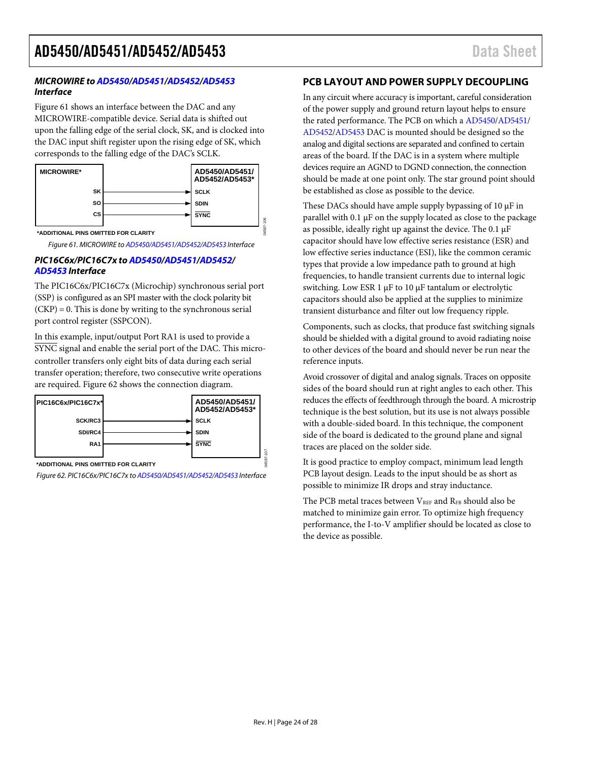#### **MICROWIRE to [AD5450](http://www.analog.com/AD5450?doc=AD5450_5451_5452_5453.pdf)[/AD5451](http://www.analog.com/AD5451?doc=AD5450_5451_5452_5453.pdf)[/AD5452/](http://www.analog.com/AD5452?doc=AD5450_5451_5452_5453.pdf)[AD5453](http://www.analog.com/AD5453?doc=AD5450_5451_5452_5453.pdf) Interface**

[Figure 61 s](#page-23-1)hows an interface between the DAC and any MICROWIRE-compatible device. Serial data is shifted out upon the falling edge of the serial clock, SK, and is clocked into the DAC input shift register upon the rising edge of SK, which corresponds to the falling edge of the DAC's SCLK.



<span id="page-23-1"></span>Figure 61. MICROWIRE t[o AD5450](http://www.analog.com/AD5450?doc=AD5450_5451_5452_5453.pdf)[/AD5451](http://www.analog.com/AD5451?doc=AD5450_5451_5452_5453.pdf)[/AD5452/](http://www.analog.com/AD5452?doc=AD5450_5451_5452_5453.pdf)[AD5453 I](http://www.analog.com/AD5453?doc=AD5450_5451_5452_5453.pdf)nterface

#### **PIC16C6x/PIC16C7x t[o AD5450](http://www.analog.com/AD5450?doc=AD5450_5451_5452_5453.pdf)[/AD5451/](http://www.analog.com/AD5451?doc=AD5450_5451_5452_5453.pdf)[AD5452/](http://www.analog.com/AD5452?doc=AD5450_5451_5452_5453.pdf) [AD5453 I](http://www.analog.com/AD5453?doc=AD5450_5451_5452_5453.pdf)nterface**

The PIC16C6x/PIC16C7x (Microchip) synchronous serial port (SSP) is configured as an SPI master with the clock polarity bit  $(CKP) = 0$ . This is done by writing to the synchronous serial port control register (SSPCON).

In this example, input/output Port RA1 is used to provide a SYNC signal and enable the serial port of the DAC. This microcontroller transfers only eight bits of data during each serial transfer operation; therefore, two consecutive write operations are required[. Figure 62](#page-23-2) shows the connection diagram.



<span id="page-23-2"></span>Figure 62. PIC16C6x/PIC16C7x t[o AD5450/](http://www.analog.com/AD5450?doc=AD5450_5451_5452_5453.pdf)[AD5451](http://www.analog.com/AD5451?doc=AD5450_5451_5452_5453.pdf)[/AD5452/](http://www.analog.com/AD5452?doc=AD5450_5451_5452_5453.pdf)[AD5453 I](http://www.analog.com/AD5453?doc=AD5450_5451_5452_5453.pdf)nterface

#### <span id="page-23-0"></span>**PCB LAYOUT AND POWER SUPPLY DECOUPLING**

In any circuit where accuracy is important, careful consideration of the power supply and ground return layout helps to ensure the rated performance. The PCB on which a [AD5450](http://www.analog.com/AD5450?doc=AD5450_5451_5452_5453.pdf)[/AD5451/](http://www.analog.com/AD5451?doc=AD5450_5451_5452_5453.pdf) [AD5452](http://www.analog.com/AD5452?doc=AD5450_5451_5452_5453.pdf)[/AD5453](http://www.analog.com/AD5453?doc=AD5450_5451_5452_5453.pdf) DAC is mounted should be designed so the analog and digital sections are separated and confined to certain areas of the board. If the DAC is in a system where multiple devices require an AGND to DGND connection, the connection should be made at one point only. The star ground point should be established as close as possible to the device.

These DACs should have ample supply bypassing of 10 μF in parallel with 0.1 μF on the supply located as close to the package as possible, ideally right up against the device. The 0.1 μF capacitor should have low effective series resistance (ESR) and low effective series inductance (ESI), like the common ceramic types that provide a low impedance path to ground at high frequencies, to handle transient currents due to internal logic switching. Low ESR 1 μF to 10 μF tantalum or electrolytic capacitors should also be applied at the supplies to minimize transient disturbance and filter out low frequency ripple.

Components, such as clocks, that produce fast switching signals should be shielded with a digital ground to avoid radiating noise to other devices of the board and should never be run near the reference inputs.

Avoid crossover of digital and analog signals. Traces on opposite sides of the board should run at right angles to each other. This reduces the effects of feedthrough through the board. A microstrip technique is the best solution, but its use is not always possible with a double-sided board. In this technique, the component side of the board is dedicated to the ground plane and signal traces are placed on the solder side.

It is good practice to employ compact, minimum lead length PCB layout design. Leads to the input should be as short as possible to minimize IR drops and stray inductance.

The PCB metal traces between VREF and RFB should also be matched to minimize gain error. To optimize high frequency performance, the I-to-V amplifier should be located as close to the device as possible.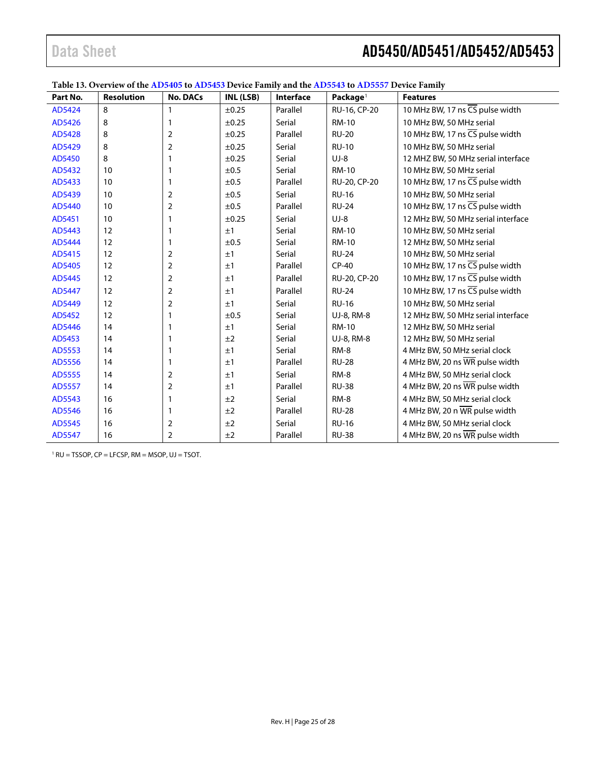| Table 13. Overview of the AD5405 to AD5453 Device Family and the AD5543 to AD5557 Device Family |  |
|-------------------------------------------------------------------------------------------------|--|
|-------------------------------------------------------------------------------------------------|--|

| Part No. | <b>Resolution</b> | <b>No. DACs</b> | INL (LSB)  | Interface | Package <sup>1</sup> | <b>Features</b>                              |
|----------|-------------------|-----------------|------------|-----------|----------------------|----------------------------------------------|
| AD5424   | 8                 | 1               | $\pm 0.25$ | Parallel  | RU-16, CP-20         | 10 MHz BW, 17 ns CS pulse width              |
| AD5426   | 8                 | 1               | ±0.25      | Serial    | <b>RM-10</b>         | 10 MHz BW, 50 MHz serial                     |
| AD5428   | 8                 | $\overline{2}$  | ±0.25      | Parallel  | <b>RU-20</b>         | 10 MHz BW, 17 ns CS pulse width              |
| AD5429   | 8                 | $\mathbf 2$     | ±0.25      | Serial    | <b>RU-10</b>         | 10 MHz BW, 50 MHz serial                     |
| AD5450   | 8                 | 1               | $\pm 0.25$ | Serial    | $UJ-8$               | 12 MHZ BW, 50 MHz serial interface           |
| AD5432   | 10                | 1               | ±0.5       | Serial    | <b>RM-10</b>         | 10 MHz BW, 50 MHz serial                     |
| AD5433   | 10                | 1               | ±0.5       | Parallel  | RU-20, CP-20         | 10 MHz BW, 17 ns CS pulse width              |
| AD5439   | 10                | 2               | ±0.5       | Serial    | <b>RU-16</b>         | 10 MHz BW, 50 MHz serial                     |
| AD5440   | 10                | $\mathbf 2$     | ±0.5       | Parallel  | <b>RU-24</b>         | 10 MHz BW, 17 ns $\overline{CS}$ pulse width |
| AD5451   | 10                | 1               | $\pm 0.25$ | Serial    | $UJ-8$               | 12 MHz BW, 50 MHz serial interface           |
| AD5443   | 12                | 1               | ±1         | Serial    | <b>RM-10</b>         | 10 MHz BW, 50 MHz serial                     |
| AD5444   | 12                | 1               | ±0.5       | Serial    | <b>RM-10</b>         | 12 MHz BW, 50 MHz serial                     |
| AD5415   | 12                | 2               | ±1         | Serial    | <b>RU-24</b>         | 10 MHz BW, 50 MHz serial                     |
| AD5405   | 12                | $\overline{2}$  | ±1         | Parallel  | $CP-40$              | 10 MHz BW, 17 ns CS pulse width              |
| AD5445   | 12                | $\mathbf 2$     | ±1         | Parallel  | RU-20, CP-20         | 10 MHz BW, 17 ns CS pulse width              |
| AD5447   | 12                | 2               | ±1         | Parallel  | <b>RU-24</b>         | 10 MHz BW, 17 ns CS pulse width              |
| AD5449   | 12                | $\overline{2}$  | ±1         | Serial    | <b>RU-16</b>         | 10 MHz BW, 50 MHz serial                     |
| AD5452   | 12                | 1               | ±0.5       | Serial    | UJ-8, RM-8           | 12 MHz BW, 50 MHz serial interface           |
| AD5446   | 14                | 1               | ±1         | Serial    | <b>RM-10</b>         | 12 MHz BW, 50 MHz serial                     |
| AD5453   | 14                | 1               | ±2         | Serial    | UJ-8, RM-8           | 12 MHz BW, 50 MHz serial                     |
| AD5553   | 14                | 1               | ±1         | Serial    | RM-8                 | 4 MHz BW, 50 MHz serial clock                |
| AD5556   | 14                | 1               | ±1         | Parallel  | <b>RU-28</b>         | 4 MHz BW, 20 ns WR pulse width               |
| AD5555   | 14                | $\overline{2}$  | ±1         | Serial    | RM-8                 | 4 MHz BW, 50 MHz serial clock                |
| AD5557   | 14                | $\overline{2}$  | ±1         | Parallel  | <b>RU-38</b>         | 4 MHz BW, 20 ns WR pulse width               |
| AD5543   | 16                | 1               | ±2         | Serial    | RM-8                 | 4 MHz BW, 50 MHz serial clock                |
| AD5546   | 16                | 1               | ±2         | Parallel  | <b>RU-28</b>         | 4 MHz BW, 20 n WR pulse width                |
| AD5545   | 16                | $\overline{2}$  | ±2         | Serial    | <b>RU-16</b>         | 4 MHz BW, 50 MHz serial clock                |
| AD5547   | 16                | 2               | ±2         | Parallel  | <b>RU-38</b>         | 4 MHz BW, 20 ns WR pulse width               |

 $1$  RU = TSSOP, CP = LFCSP, RM = MSOP, UJ = TSOT.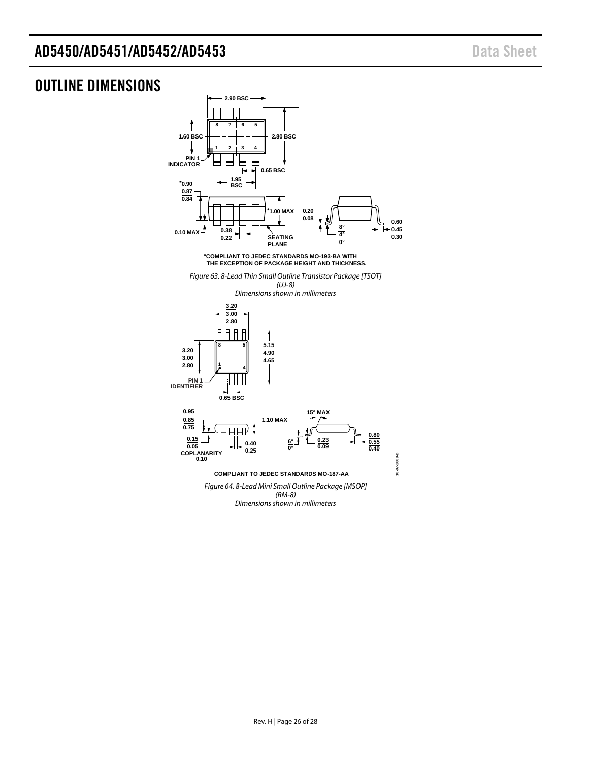### <span id="page-25-0"></span>OUTLINE DIMENSIONS



**COMPLIANT TO JEDEC STANDARDS MO-187-AA**

*Figure 64. 8-Lead Mini Small Outline Package [MSOP] (RM-8) Dimensions shown in millimeters*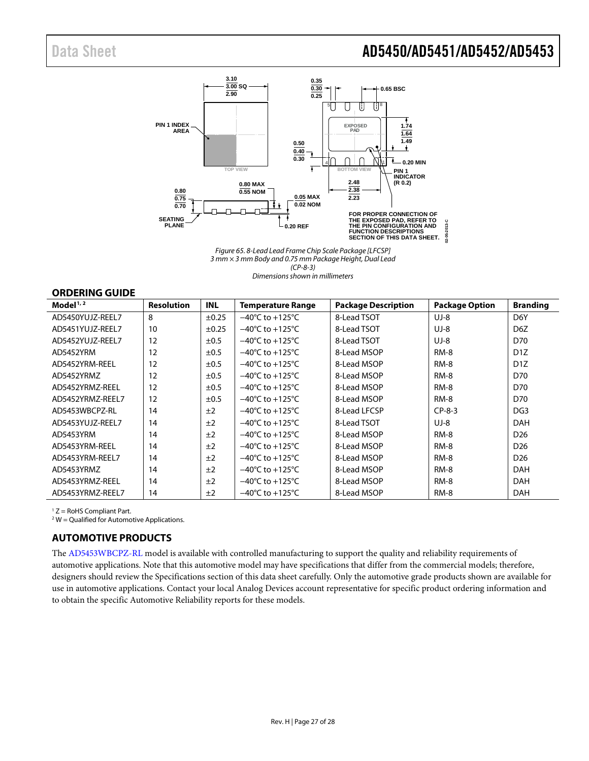

*Figure 65. 8-Lead Lead Frame Chip Scale Package [LFCSP] 3 mm × 3 mm Body and 0.75 mm Package Height, Dual Lead (CP-8-3) Dimensions shown in millimeters*

#### <span id="page-26-0"></span>**ORDERING GUIDE**

| <b>Resolution</b> | <b>INL</b> | <b>Temperature Range</b>            | <b>Package Description</b> | <b>Package Option</b> | <b>Branding</b>  |
|-------------------|------------|-------------------------------------|----------------------------|-----------------------|------------------|
| 8                 | $\pm 0.25$ | $-40^{\circ}$ C to $+125^{\circ}$ C | 8-Lead TSOT                | $UJ-8$                | D <sub>6</sub> Y |
| 10                | $\pm 0.25$ | $-40^{\circ}$ C to $+125^{\circ}$ C | 8-Lead TSOT                | $UJ-8$                | D <sub>6</sub> Z |
| 12                | ±0.5       | $-40^{\circ}$ C to $+125^{\circ}$ C | 8-Lead TSOT                | $UJ-8$                | D70              |
| 12                | $\pm 0.5$  | $-40^{\circ}$ C to $+125^{\circ}$ C | 8-Lead MSOP                | <b>RM-8</b>           | D <sub>1</sub> Z |
| 12                | ±0.5       | $-40^{\circ}$ C to $+125^{\circ}$ C | 8-Lead MSOP                | $RM-8$                | D <sub>1</sub> Z |
| 12                | ±0.5       | $-40^{\circ}$ C to $+125^{\circ}$ C | 8-Lead MSOP                | $RM-8$                | D70              |
| 12                | $\pm 0.5$  | $-40^{\circ}$ C to $+125^{\circ}$ C | 8-Lead MSOP                | $RM-8$                | D70              |
| 12                | ±0.5       | $-40^{\circ}$ C to $+125^{\circ}$ C | 8-Lead MSOP                | <b>RM-8</b>           | D70              |
| 14                | ±2         | $-40^{\circ}$ C to $+125^{\circ}$ C | 8-Lead LFCSP               | $CP-8-3$              | DG <sub>3</sub>  |
| 14                | ±2         | $-40^{\circ}$ C to $+125^{\circ}$ C | 8-Lead TSOT                | $UJ-8$                | <b>DAH</b>       |
| 14                | ±2         | $-40^{\circ}$ C to $+125^{\circ}$ C | 8-Lead MSOP                | <b>RM-8</b>           | D <sub>26</sub>  |
| 14                | ±2         | $-40^{\circ}$ C to $+125^{\circ}$ C | 8-Lead MSOP                | <b>RM-8</b>           | D <sub>26</sub>  |
| 14                | ±2         | $-40^{\circ}$ C to $+125^{\circ}$ C | 8-Lead MSOP                | $RM-8$                | D <sub>26</sub>  |
| 14                | ±2         | $-40^{\circ}$ C to $+125^{\circ}$ C | 8-Lead MSOP                | <b>RM-8</b>           | <b>DAH</b>       |
| 14                | ±2         | $-40^{\circ}$ C to $+125^{\circ}$ C | 8-Lead MSOP                | RM-8                  | <b>DAH</b>       |
| 14                | ±2         | $-40^{\circ}$ C to $+125^{\circ}$ C | 8-Lead MSOP                | <b>RM-8</b>           | <b>DAH</b>       |
|                   |            |                                     |                            |                       |                  |

<sup>1</sup> Z = RoHS Compliant Part.

 $2$  W = Qualified for Automotive Applications.

#### <span id="page-26-1"></span>**AUTOMOTIVE PRODUCTS**

The [AD5453WBCPZ-RL](http://www.analog.com/AD5453?doc=AD5450_5451_5452_5453.pdf) model is available with controlled manufacturing to support the quality and reliability requirements of automotive applications. Note that this automotive model may have specifications that differ from the commercial models; therefore, designers should review th[e Specifications](#page-2-0) section of this data sheet carefully. Only the automotive grade products shown are available for use in automotive applications. Contact your local Analog Devices account representative for specific product ordering information and to obtain the specific Automotive Reliability reports for these models.